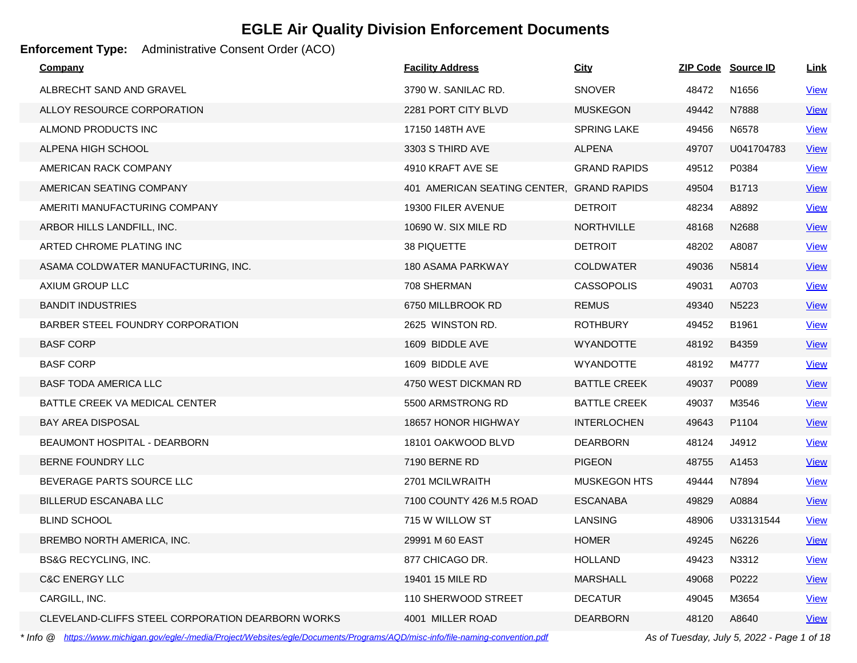### **Enforcement Type:** Administrative Consent Order (ACO)

| Company                                           | <b>Facility Address</b>                   | <b>City</b>         |       | ZIP Code Source ID | <u>Link</u> |
|---------------------------------------------------|-------------------------------------------|---------------------|-------|--------------------|-------------|
| ALBRECHT SAND AND GRAVEL                          | 3790 W. SANILAC RD.                       | <b>SNOVER</b>       | 48472 | N1656              | <b>View</b> |
| ALLOY RESOURCE CORPORATION                        | 2281 PORT CITY BLVD                       | <b>MUSKEGON</b>     | 49442 | N7888              | <b>View</b> |
| ALMOND PRODUCTS INC                               | 17150 148TH AVE                           | <b>SPRING LAKE</b>  | 49456 | N6578              | <b>View</b> |
| ALPENA HIGH SCHOOL                                | 3303 S THIRD AVE                          | <b>ALPENA</b>       | 49707 | U041704783         | <b>View</b> |
| AMERICAN RACK COMPANY                             | 4910 KRAFT AVE SE                         | <b>GRAND RAPIDS</b> | 49512 | P0384              | <b>View</b> |
| AMERICAN SEATING COMPANY                          | 401 AMERICAN SEATING CENTER, GRAND RAPIDS |                     | 49504 | B1713              | <b>View</b> |
| AMERITI MANUFACTURING COMPANY                     | 19300 FILER AVENUE                        | <b>DETROIT</b>      | 48234 | A8892              | <b>View</b> |
| ARBOR HILLS LANDFILL, INC.                        | 10690 W. SIX MILE RD                      | <b>NORTHVILLE</b>   | 48168 | N2688              | <b>View</b> |
| ARTED CHROME PLATING INC                          | 38 PIQUETTE                               | <b>DETROIT</b>      | 48202 | A8087              | <u>View</u> |
| ASAMA COLDWATER MANUFACTURING, INC.               | 180 ASAMA PARKWAY                         | <b>COLDWATER</b>    | 49036 | N5814              | <u>View</u> |
| AXIUM GROUP LLC                                   | 708 SHERMAN                               | <b>CASSOPOLIS</b>   | 49031 | A0703              | <u>View</u> |
| <b>BANDIT INDUSTRIES</b>                          | 6750 MILLBROOK RD                         | <b>REMUS</b>        | 49340 | N5223              | <b>View</b> |
| BARBER STEEL FOUNDRY CORPORATION                  | 2625 WINSTON RD.                          | <b>ROTHBURY</b>     | 49452 | B1961              | <b>View</b> |
| <b>BASF CORP</b>                                  | 1609 BIDDLE AVE                           | <b>WYANDOTTE</b>    | 48192 | B4359              | <u>View</u> |
| <b>BASF CORP</b>                                  | 1609 BIDDLE AVE                           | <b>WYANDOTTE</b>    | 48192 | M4777              | <b>View</b> |
| <b>BASF TODA AMERICA LLC</b>                      | 4750 WEST DICKMAN RD                      | <b>BATTLE CREEK</b> | 49037 | P0089              | <b>View</b> |
| BATTLE CREEK VA MEDICAL CENTER                    | 5500 ARMSTRONG RD                         | <b>BATTLE CREEK</b> | 49037 | M3546              | <b>View</b> |
| <b>BAY AREA DISPOSAL</b>                          | 18657 HONOR HIGHWAY                       | <b>INTERLOCHEN</b>  | 49643 | P1104              | <u>View</u> |
| BEAUMONT HOSPITAL - DEARBORN                      | 18101 OAKWOOD BLVD                        | <b>DEARBORN</b>     | 48124 | J4912              | <b>View</b> |
| BERNE FOUNDRY LLC                                 | 7190 BERNE RD                             | <b>PIGEON</b>       | 48755 | A1453              | <u>View</u> |
| BEVERAGE PARTS SOURCE LLC                         | 2701 MCILWRAITH                           | <b>MUSKEGON HTS</b> | 49444 | N7894              | <b>View</b> |
| <b>BILLERUD ESCANABA LLC</b>                      | 7100 COUNTY 426 M.5 ROAD                  | <b>ESCANABA</b>     | 49829 | A0884              | <u>View</u> |
| <b>BLIND SCHOOL</b>                               | 715 W WILLOW ST                           | <b>LANSING</b>      | 48906 | U33131544          | <b>View</b> |
| BREMBO NORTH AMERICA, INC.                        | 29991 M 60 EAST                           | <b>HOMER</b>        | 49245 | N6226              | <b>View</b> |
| <b>BS&amp;G RECYCLING, INC.</b>                   | 877 CHICAGO DR.                           | <b>HOLLAND</b>      | 49423 | N3312              | <b>View</b> |
| <b>C&amp;C ENERGY LLC</b>                         | 19401 15 MILE RD                          | <b>MARSHALL</b>     | 49068 | P0222              | <b>View</b> |
| CARGILL, INC.                                     | 110 SHERWOOD STREET                       | <b>DECATUR</b>      | 49045 | M3654              | <b>View</b> |
| CLEVELAND-CLIFFS STEEL CORPORATION DEARBORN WORKS | 4001 MILLER ROAD                          | <b>DEARBORN</b>     | 48120 | A8640              | <b>View</b> |

*\* Info @ https://www.michigan.gov/egle/-/media/Project/Websites/egle/Documents/Programs/AQD/misc-info/file-naming-convention.pdf As of Tuesday, July 5, 2022 - Page 1 of 18*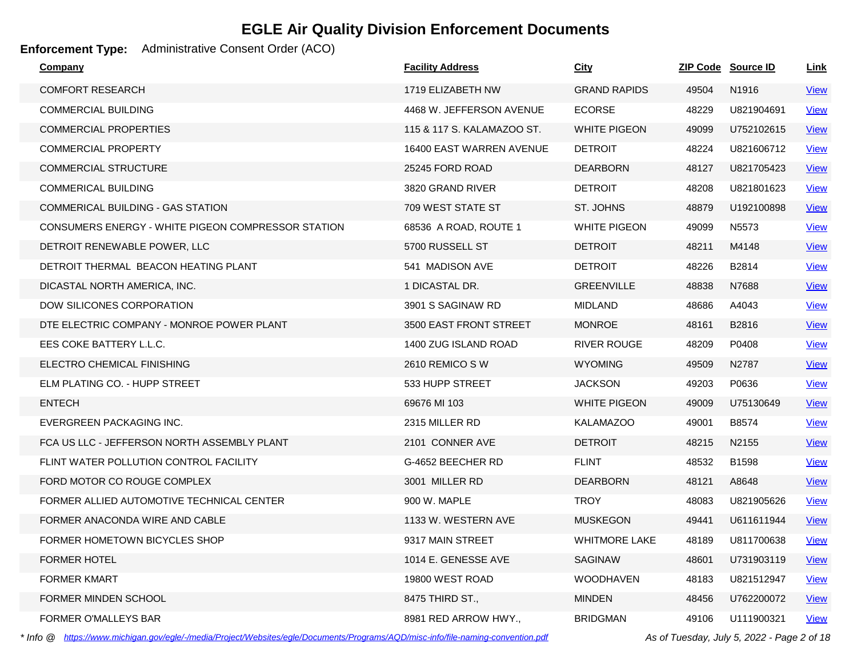### **Enforcement Type:** Administrative Consent Order (ACO)

| Company                                            | <b>Facility Address</b>    | <b>City</b>          |       | ZIP Code Source ID | Link        |
|----------------------------------------------------|----------------------------|----------------------|-------|--------------------|-------------|
| <b>COMFORT RESEARCH</b>                            | 1719 ELIZABETH NW          | <b>GRAND RAPIDS</b>  | 49504 | N1916              | <b>View</b> |
| <b>COMMERCIAL BUILDING</b>                         | 4468 W. JEFFERSON AVENUE   | <b>ECORSE</b>        | 48229 | U821904691         | <b>View</b> |
| COMMERCIAL PROPERTIES                              | 115 & 117 S. KALAMAZOO ST. | <b>WHITE PIGEON</b>  | 49099 | U752102615         | <b>View</b> |
| <b>COMMERCIAL PROPERTY</b>                         | 16400 EAST WARREN AVENUE   | <b>DETROIT</b>       | 48224 | U821606712         | <b>View</b> |
| <b>COMMERCIAL STRUCTURE</b>                        | 25245 FORD ROAD            | <b>DEARBORN</b>      | 48127 | U821705423         | <b>View</b> |
| <b>COMMERICAL BUILDING</b>                         | 3820 GRAND RIVER           | <b>DETROIT</b>       | 48208 | U821801623         | <b>View</b> |
| COMMERICAL BUILDING - GAS STATION                  | 709 WEST STATE ST          | ST. JOHNS            | 48879 | U192100898         | View        |
| CONSUMERS ENERGY - WHITE PIGEON COMPRESSOR STATION | 68536 A ROAD, ROUTE 1      | WHITE PIGEON         | 49099 | N <sub>5573</sub>  | <b>View</b> |
| DETROIT RENEWABLE POWER, LLC                       | 5700 RUSSELL ST            | <b>DETROIT</b>       | 48211 | M4148              | <b>View</b> |
| DETROIT THERMAL BEACON HEATING PLANT               | 541 MADISON AVE            | <b>DETROIT</b>       | 48226 | B2814              | <b>View</b> |
| DICASTAL NORTH AMERICA, INC.                       | 1 DICASTAL DR.             | <b>GREENVILLE</b>    | 48838 | N7688              | <u>View</u> |
| DOW SILICONES CORPORATION                          | 3901 S SAGINAW RD          | <b>MIDLAND</b>       | 48686 | A4043              | <b>View</b> |
| DTE ELECTRIC COMPANY - MONROE POWER PLANT          | 3500 EAST FRONT STREET     | <b>MONROE</b>        | 48161 | B2816              | <b>View</b> |
| EES COKE BATTERY L.L.C.                            | 1400 ZUG ISLAND ROAD       | <b>RIVER ROUGE</b>   | 48209 | P0408              | <b>View</b> |
| ELECTRO CHEMICAL FINISHING                         | 2610 REMICO SW             | <b>WYOMING</b>       | 49509 | N2787              | <u>View</u> |
| ELM PLATING CO. - HUPP STREET                      | 533 HUPP STREET            | <b>JACKSON</b>       | 49203 | P0636              | View        |
| <b>ENTECH</b>                                      | 69676 MI 103               | <b>WHITE PIGEON</b>  | 49009 | U75130649          | <b>View</b> |
| EVERGREEN PACKAGING INC.                           | 2315 MILLER RD             | <b>KALAMAZOO</b>     | 49001 | B8574              | <b>View</b> |
| FCA US LLC - JEFFERSON NORTH ASSEMBLY PLANT        | 2101 CONNER AVE            | <b>DETROIT</b>       | 48215 | N2155              | <b>View</b> |
| FLINT WATER POLLUTION CONTROL FACILITY             | G-4652 BEECHER RD          | <b>FLINT</b>         | 48532 | B1598              | <b>View</b> |
| FORD MOTOR CO ROUGE COMPLEX                        | 3001 MILLER RD             | <b>DEARBORN</b>      | 48121 | A8648              | <b>View</b> |
| FORMER ALLIED AUTOMOTIVE TECHNICAL CENTER          | 900 W. MAPLE               | <b>TROY</b>          | 48083 | U821905626         | <b>View</b> |
| FORMER ANACONDA WIRE AND CABLE                     | 1133 W. WESTERN AVE        | <b>MUSKEGON</b>      | 49441 | U611611944         | <b>View</b> |
| FORMER HOMETOWN BICYCLES SHOP                      | 9317 MAIN STREET           | <b>WHITMORE LAKE</b> | 48189 | U811700638         | <b>View</b> |
| <b>FORMER HOTEL</b>                                | 1014 E. GENESSE AVE        | <b>SAGINAW</b>       | 48601 | U731903119         | <b>View</b> |
| <b>FORMER KMART</b>                                | 19800 WEST ROAD            | <b>WOODHAVEN</b>     | 48183 | U821512947         | <b>View</b> |
| FORMER MINDEN SCHOOL                               | 8475 THIRD ST.,            | <b>MINDEN</b>        | 48456 | U762200072         | <u>View</u> |
| <b>FORMER O'MALLEYS BAR</b>                        | 8981 RED ARROW HWY.,       | <b>BRIDGMAN</b>      | 49106 | U111900321         | <b>View</b> |

*\* Info @ https://www.michigan.gov/egle/-/media/Project/Websites/egle/Documents/Programs/AQD/misc-info/file-naming-convention.pdf As of Tuesday, July 5, 2022 - Page 2 of 18*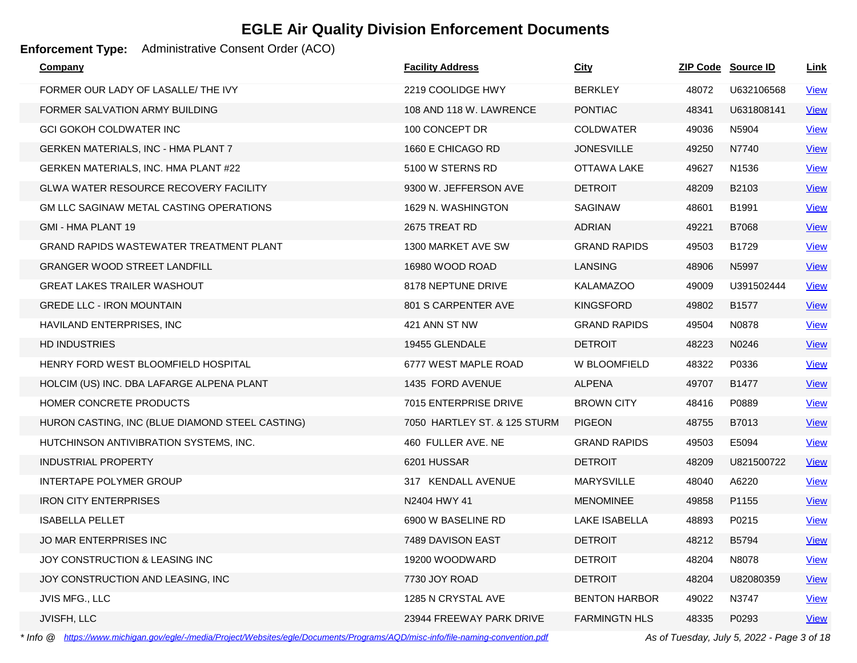### **Enforcement Type:** Administrative Consent Order (ACO)

| <u>Company</u>                                  | <b>Facility Address</b>      | <u>City</u>          |       | <b>ZIP Code Source ID</b> | <u>Link</u> |
|-------------------------------------------------|------------------------------|----------------------|-------|---------------------------|-------------|
| FORMER OUR LADY OF LASALLE/ THE IVY             | 2219 COOLIDGE HWY            | <b>BERKLEY</b>       | 48072 | U632106568                | <b>View</b> |
| FORMER SALVATION ARMY BUILDING                  | 108 AND 118 W. LAWRENCE      | <b>PONTIAC</b>       | 48341 | U631808141                | <b>View</b> |
| <b>GCI GOKOH COLDWATER INC</b>                  | 100 CONCEPT DR               | <b>COLDWATER</b>     | 49036 | N5904                     | View        |
| <b>GERKEN MATERIALS, INC - HMA PLANT 7</b>      | 1660 E CHICAGO RD            | <b>JONESVILLE</b>    | 49250 | N7740                     | <b>View</b> |
| GERKEN MATERIALS, INC. HMA PLANT #22            | 5100 W STERNS RD             | OTTAWA LAKE          | 49627 | N1536                     | <b>View</b> |
| <b>GLWA WATER RESOURCE RECOVERY FACILITY</b>    | 9300 W. JEFFERSON AVE        | <b>DETROIT</b>       | 48209 | B2103                     | <u>View</u> |
| GM LLC SAGINAW METAL CASTING OPERATIONS         | 1629 N. WASHINGTON           | <b>SAGINAW</b>       | 48601 | B1991                     | <b>View</b> |
| GMI - HMA PLANT 19                              | 2675 TREAT RD                | <b>ADRIAN</b>        | 49221 | B7068                     | <b>View</b> |
| <b>GRAND RAPIDS WASTEWATER TREATMENT PLANT</b>  | 1300 MARKET AVE SW           | <b>GRAND RAPIDS</b>  | 49503 | B1729                     | <b>View</b> |
| <b>GRANGER WOOD STREET LANDFILL</b>             | 16980 WOOD ROAD              | <b>LANSING</b>       | 48906 | N5997                     | <b>View</b> |
| <b>GREAT LAKES TRAILER WASHOUT</b>              | 8178 NEPTUNE DRIVE           | <b>KALAMAZOO</b>     | 49009 | U391502444                | <b>View</b> |
| <b>GREDE LLC - IRON MOUNTAIN</b>                | 801 S CARPENTER AVE          | <b>KINGSFORD</b>     | 49802 | B1577                     | <b>View</b> |
| HAVILAND ENTERPRISES, INC                       | 421 ANN ST NW                | <b>GRAND RAPIDS</b>  | 49504 | N0878                     | <b>View</b> |
| <b>HD INDUSTRIES</b>                            | 19455 GLENDALE               | <b>DETROIT</b>       | 48223 | N0246                     | <b>View</b> |
| HENRY FORD WEST BLOOMFIELD HOSPITAL             | 6777 WEST MAPLE ROAD         | W BLOOMFIELD         | 48322 | P0336                     | <b>View</b> |
| HOLCIM (US) INC. DBA LAFARGE ALPENA PLANT       | 1435 FORD AVENUE             | <b>ALPENA</b>        | 49707 | B1477                     | <b>View</b> |
| HOMER CONCRETE PRODUCTS                         | 7015 ENTERPRISE DRIVE        | <b>BROWN CITY</b>    | 48416 | P0889                     | <b>View</b> |
| HURON CASTING, INC (BLUE DIAMOND STEEL CASTING) | 7050 HARTLEY ST. & 125 STURM | <b>PIGEON</b>        | 48755 | B7013                     | <b>View</b> |
| HUTCHINSON ANTIVIBRATION SYSTEMS, INC.          | 460 FULLER AVE, NE           | <b>GRAND RAPIDS</b>  | 49503 | E5094                     | <b>View</b> |
| <b>INDUSTRIAL PROPERTY</b>                      | 6201 HUSSAR                  | <b>DETROIT</b>       | 48209 | U821500722                | <b>View</b> |
| INTERTAPE POLYMER GROUP                         | 317 KENDALL AVENUE           | <b>MARYSVILLE</b>    | 48040 | A6220                     | <b>View</b> |
| <b>IRON CITY ENTERPRISES</b>                    | N2404 HWY 41                 | <b>MENOMINEE</b>     | 49858 | P1155                     | <b>View</b> |
| <b>ISABELLA PELLET</b>                          | 6900 W BASELINE RD           | <b>LAKE ISABELLA</b> | 48893 | P0215                     | <b>View</b> |
| <b>JO MAR ENTERPRISES INC</b>                   | 7489 DAVISON EAST            | <b>DETROIT</b>       | 48212 | B5794                     | <b>View</b> |
| JOY CONSTRUCTION & LEASING INC                  | 19200 WOODWARD               | <b>DETROIT</b>       | 48204 | N8078                     | <b>View</b> |
| JOY CONSTRUCTION AND LEASING, INC               | 7730 JOY ROAD                | <b>DETROIT</b>       | 48204 | U82080359                 | <b>View</b> |
| JVIS MFG., LLC                                  | 1285 N CRYSTAL AVE           | <b>BENTON HARBOR</b> | 49022 | N3747                     | <b>View</b> |
| JVISFH, LLC                                     | 23944 FREEWAY PARK DRIVE     | <b>FARMINGTN HLS</b> | 48335 | P0293                     | <b>View</b> |

*\* Info @ https://www.michigan.gov/egle/-/media/Project/Websites/egle/Documents/Programs/AQD/misc-info/file-naming-convention.pdf As of Tuesday, July 5, 2022 - Page 3 of 18*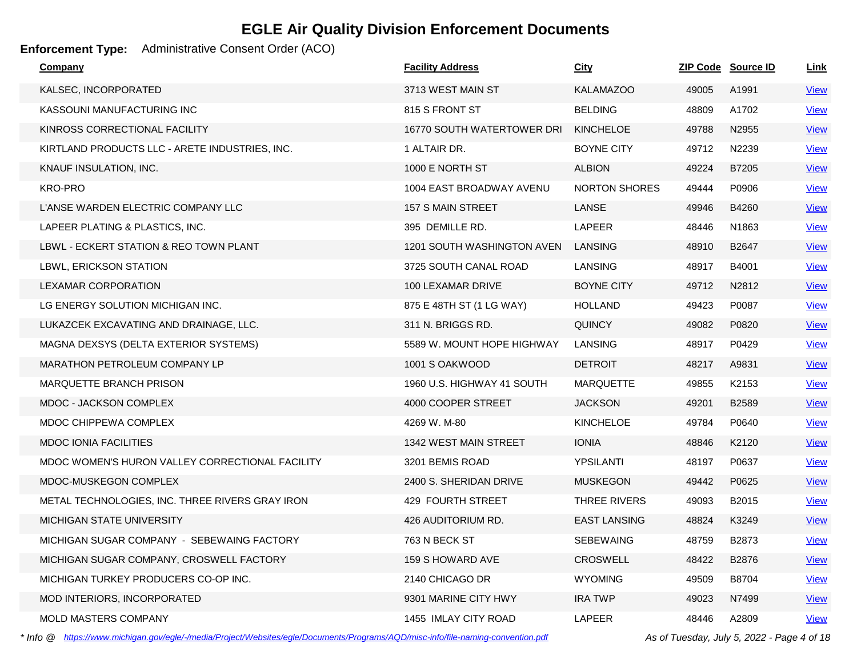### **Enforcement Type:** Administrative Consent Order (ACO)

| <b>Company</b>                                  | <b>Facility Address</b>    | <u>City</u>          |       | <b>ZIP Code Source ID</b> | <u>Link</u> |
|-------------------------------------------------|----------------------------|----------------------|-------|---------------------------|-------------|
| KALSEC, INCORPORATED                            | 3713 WEST MAIN ST          | <b>KALAMAZOO</b>     | 49005 | A1991                     | <u>View</u> |
| KASSOUNI MANUFACTURING INC                      | 815 S FRONT ST             | <b>BELDING</b>       | 48809 | A1702                     | <b>View</b> |
| KINROSS CORRECTIONAL FACILITY                   | 16770 SOUTH WATERTOWER DRI | <b>KINCHELOE</b>     | 49788 | N2955                     | <b>View</b> |
| KIRTLAND PRODUCTS LLC - ARETE INDUSTRIES, INC.  | 1 ALTAIR DR.               | <b>BOYNE CITY</b>    | 49712 | N2239                     | View        |
| KNAUF INSULATION, INC.                          | 1000 E NORTH ST            | <b>ALBION</b>        | 49224 | B7205                     | <b>View</b> |
| <b>KRO-PRO</b>                                  | 1004 EAST BROADWAY AVENU   | <b>NORTON SHORES</b> | 49444 | P0906                     | <b>View</b> |
| L'ANSE WARDEN ELECTRIC COMPANY LLC              | 157 S MAIN STREET          | LANSE                | 49946 | B4260                     | <b>View</b> |
| LAPEER PLATING & PLASTICS, INC.                 | 395 DEMILLE RD.            | LAPEER               | 48446 | N <sub>1863</sub>         | <b>View</b> |
| LBWL - ECKERT STATION & REO TOWN PLANT          | 1201 SOUTH WASHINGTON AVEN | LANSING              | 48910 | B2647                     | <b>View</b> |
| LBWL, ERICKSON STATION                          | 3725 SOUTH CANAL ROAD      | LANSING              | 48917 | B4001                     | <b>View</b> |
| LEXAMAR CORPORATION                             | 100 LEXAMAR DRIVE          | <b>BOYNE CITY</b>    | 49712 | N2812                     | <u>View</u> |
| LG ENERGY SOLUTION MICHIGAN INC.                | 875 E 48TH ST (1 LG WAY)   | <b>HOLLAND</b>       | 49423 | P0087                     | <b>View</b> |
| LUKAZCEK EXCAVATING AND DRAINAGE, LLC.          | 311 N. BRIGGS RD.          | <b>QUINCY</b>        | 49082 | P0820                     | <u>View</u> |
| MAGNA DEXSYS (DELTA EXTERIOR SYSTEMS)           | 5589 W. MOUNT HOPE HIGHWAY | <b>LANSING</b>       | 48917 | P0429                     | <b>View</b> |
| <b>MARATHON PETROLEUM COMPANY LP</b>            | 1001 S OAKWOOD             | <b>DETROIT</b>       | 48217 | A9831                     | <b>View</b> |
| <b>MARQUETTE BRANCH PRISON</b>                  | 1960 U.S. HIGHWAY 41 SOUTH | <b>MARQUETTE</b>     | 49855 | K2153                     | <b>View</b> |
| MDOC - JACKSON COMPLEX                          | 4000 COOPER STREET         | <b>JACKSON</b>       | 49201 | B <sub>2589</sub>         | <b>View</b> |
| MDOC CHIPPEWA COMPLEX                           | 4269 W. M-80               | <b>KINCHELOE</b>     | 49784 | P0640                     | <b>View</b> |
| <b>MDOC IONIA FACILITIES</b>                    | 1342 WEST MAIN STREET      | <b>IONIA</b>         | 48846 | K2120                     | <u>View</u> |
| MDOC WOMEN'S HURON VALLEY CORRECTIONAL FACILITY | 3201 BEMIS ROAD            | YPSILANTI            | 48197 | P0637                     | <b>View</b> |
| MDOC-MUSKEGON COMPLEX                           | 2400 S. SHERIDAN DRIVE     | <b>MUSKEGON</b>      | 49442 | P0625                     | <b>View</b> |
| METAL TECHNOLOGIES, INC. THREE RIVERS GRAY IRON | 429 FOURTH STREET          | THREE RIVERS         | 49093 | B2015                     | <u>View</u> |
| MICHIGAN STATE UNIVERSITY                       | 426 AUDITORIUM RD.         | <b>EAST LANSING</b>  | 48824 | K3249                     | <b>View</b> |
| MICHIGAN SUGAR COMPANY - SEBEWAING FACTORY      | 763 N BECK ST              | <b>SEBEWAING</b>     | 48759 | B2873                     | <b>View</b> |
| MICHIGAN SUGAR COMPANY, CROSWELL FACTORY        | 159 S HOWARD AVE           | <b>CROSWELL</b>      | 48422 | B2876                     | <b>View</b> |
| MICHIGAN TURKEY PRODUCERS CO-OP INC.            | 2140 CHICAGO DR            | <b>WYOMING</b>       | 49509 | B8704                     | <b>View</b> |
| MOD INTERIORS, INCORPORATED                     | 9301 MARINE CITY HWY       | <b>IRA TWP</b>       | 49023 | N7499                     | <u>View</u> |
| <b>MOLD MASTERS COMPANY</b>                     | 1455 IMLAY CITY ROAD       | LAPEER               | 48446 | A2809                     | <b>View</b> |

*\* Info @ https://www.michigan.gov/egle/-/media/Project/Websites/egle/Documents/Programs/AQD/misc-info/file-naming-convention.pdf As of Tuesday, July 5, 2022 - Page 4 of 18*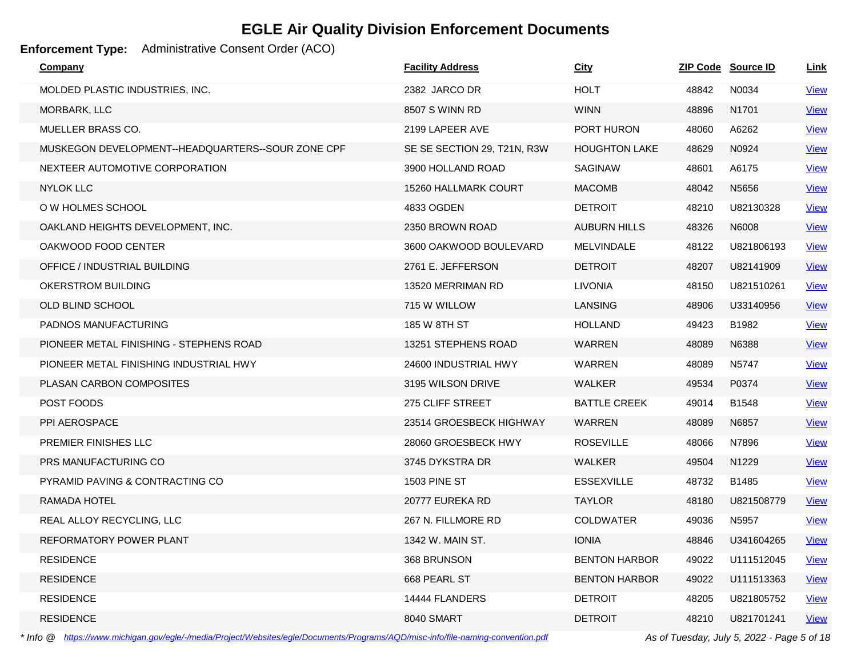### **Enforcement Type:** Administrative Consent Order (ACO)

| Company                                           | <b>Facility Address</b>     | <u>City</u>          |       | ZIP Code Source ID | Link        |
|---------------------------------------------------|-----------------------------|----------------------|-------|--------------------|-------------|
| MOLDED PLASTIC INDUSTRIES, INC.                   | 2382 JARCO DR               | <b>HOLT</b>          | 48842 | N0034              | <b>View</b> |
| MORBARK, LLC                                      | 8507 S WINN RD              | <b>WINN</b>          | 48896 | N1701              | <b>View</b> |
| MUELLER BRASS CO.                                 | 2199 LAPEER AVE             | PORT HURON           | 48060 | A6262              | <b>View</b> |
| MUSKEGON DEVELOPMENT--HEADQUARTERS--SOUR ZONE CPF | SE SE SECTION 29, T21N, R3W | <b>HOUGHTON LAKE</b> | 48629 | N0924              | <b>View</b> |
| NEXTEER AUTOMOTIVE CORPORATION                    | 3900 HOLLAND ROAD           | <b>SAGINAW</b>       | 48601 | A6175              | <u>View</u> |
| <b>NYLOK LLC</b>                                  | 15260 HALLMARK COURT        | <b>MACOMB</b>        | 48042 | N5656              | <b>View</b> |
| O W HOLMES SCHOOL                                 | 4833 OGDEN                  | <b>DETROIT</b>       | 48210 | U82130328          | <b>View</b> |
| OAKLAND HEIGHTS DEVELOPMENT, INC.                 | 2350 BROWN ROAD             | <b>AUBURN HILLS</b>  | 48326 | N6008              | <b>View</b> |
| OAKWOOD FOOD CENTER                               | 3600 OAKWOOD BOULEVARD      | <b>MELVINDALE</b>    | 48122 | U821806193         | <b>View</b> |
| OFFICE / INDUSTRIAL BUILDING                      | 2761 E. JEFFERSON           | <b>DETROIT</b>       | 48207 | U82141909          | <u>View</u> |
| OKERSTROM BUILDING                                | 13520 MERRIMAN RD           | <b>LIVONIA</b>       | 48150 | U821510261         | <b>View</b> |
| OLD BLIND SCHOOL                                  | 715 W WILLOW                | <b>LANSING</b>       | 48906 | U33140956          | <b>View</b> |
| PADNOS MANUFACTURING                              | 185 W 8TH ST                | <b>HOLLAND</b>       | 49423 | B1982              | <b>View</b> |
| PIONEER METAL FINISHING - STEPHENS ROAD           | 13251 STEPHENS ROAD         | WARREN               | 48089 | N6388              | <b>View</b> |
| PIONEER METAL FINISHING INDUSTRIAL HWY            | 24600 INDUSTRIAL HWY        | <b>WARREN</b>        | 48089 | N5747              | <b>View</b> |
| <b>PLASAN CARBON COMPOSITES</b>                   | 3195 WILSON DRIVE           | WALKER               | 49534 | P0374              | <b>View</b> |
| POST FOODS                                        | 275 CLIFF STREET            | <b>BATTLE CREEK</b>  | 49014 | B1548              | <b>View</b> |
| PPI AEROSPACE                                     | 23514 GROESBECK HIGHWAY     | WARREN               | 48089 | N6857              | <b>View</b> |
| <b>PREMIER FINISHES LLC</b>                       | 28060 GROESBECK HWY         | <b>ROSEVILLE</b>     | 48066 | N7896              | <b>View</b> |
| PRS MANUFACTURING CO                              | 3745 DYKSTRA DR             | WALKER               | 49504 | N <sub>1229</sub>  | <b>View</b> |
| PYRAMID PAVING & CONTRACTING CO                   | <b>1503 PINE ST</b>         | <b>ESSEXVILLE</b>    | 48732 | B1485              | <b>View</b> |
| RAMADA HOTEL                                      | 20777 EUREKA RD             | <b>TAYLOR</b>        | 48180 | U821508779         | <b>View</b> |
| REAL ALLOY RECYCLING, LLC                         | 267 N. FILLMORE RD          | <b>COLDWATER</b>     | 49036 | N5957              | <b>View</b> |
| REFORMATORY POWER PLANT                           | 1342 W. MAIN ST.            | <b>IONIA</b>         | 48846 | U341604265         | <b>View</b> |
| <b>RESIDENCE</b>                                  | 368 BRUNSON                 | <b>BENTON HARBOR</b> | 49022 | U111512045         | <u>View</u> |
| <b>RESIDENCE</b>                                  | 668 PEARL ST                | <b>BENTON HARBOR</b> | 49022 | U111513363         | <b>View</b> |
| <b>RESIDENCE</b>                                  | 14444 FLANDERS              | <b>DETROIT</b>       | 48205 | U821805752         | <u>View</u> |
| <b>RESIDENCE</b>                                  | 8040 SMART                  | <b>DETROIT</b>       | 48210 | U821701241         | <b>View</b> |

*\* Info @ https://www.michigan.gov/egle/-/media/Project/Websites/egle/Documents/Programs/AQD/misc-info/file-naming-convention.pdf As of Tuesday, July 5, 2022 - Page 5 of 18*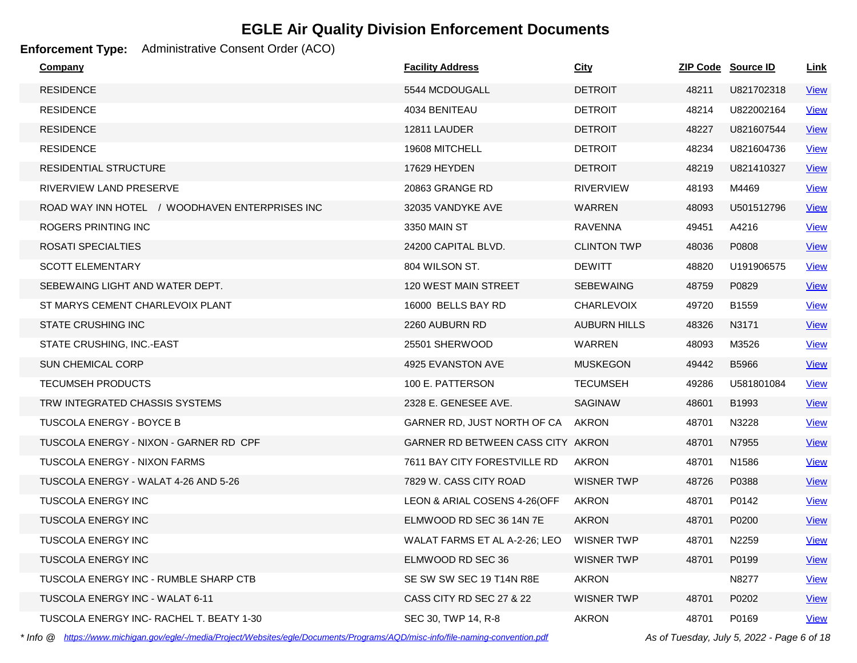### **Enforcement Type:** Administrative Consent Order (ACO)

| Company                                        | <b>Facility Address</b>           | City                |       | ZIP Code Source ID | Link        |
|------------------------------------------------|-----------------------------------|---------------------|-------|--------------------|-------------|
| <b>RESIDENCE</b>                               | 5544 MCDOUGALL                    | <b>DETROIT</b>      | 48211 | U821702318         | <u>View</u> |
| <b>RESIDENCE</b>                               | 4034 BENITEAU                     | <b>DETROIT</b>      | 48214 | U822002164         | <b>View</b> |
| <b>RESIDENCE</b>                               | 12811 LAUDER                      | <b>DETROIT</b>      | 48227 | U821607544         | <b>View</b> |
| <b>RESIDENCE</b>                               | 19608 MITCHELL                    | <b>DETROIT</b>      | 48234 | U821604736         | <b>View</b> |
| RESIDENTIAL STRUCTURE                          | 17629 HEYDEN                      | <b>DETROIT</b>      | 48219 | U821410327         | <b>View</b> |
| RIVERVIEW LAND PRESERVE                        | 20863 GRANGE RD                   | <b>RIVERVIEW</b>    | 48193 | M4469              | <b>View</b> |
| ROAD WAY INN HOTEL / WOODHAVEN ENTERPRISES INC | 32035 VANDYKE AVE                 | <b>WARREN</b>       | 48093 | U501512796         | <b>View</b> |
| ROGERS PRINTING INC                            | 3350 MAIN ST                      | <b>RAVENNA</b>      | 49451 | A4216              | <b>View</b> |
| ROSATI SPECIALTIES                             | 24200 CAPITAL BLVD.               | <b>CLINTON TWP</b>  | 48036 | P0808              | <b>View</b> |
| <b>SCOTT ELEMENTARY</b>                        | 804 WILSON ST.                    | <b>DEWITT</b>       | 48820 | U191906575         | <b>View</b> |
| SEBEWAING LIGHT AND WATER DEPT.                | <b>120 WEST MAIN STREET</b>       | <b>SEBEWAING</b>    | 48759 | P0829              | <b>View</b> |
| ST MARYS CEMENT CHARLEVOIX PLANT               | 16000 BELLS BAY RD                | <b>CHARLEVOIX</b>   | 49720 | B1559              | <b>View</b> |
| <b>STATE CRUSHING INC</b>                      | 2260 AUBURN RD                    | <b>AUBURN HILLS</b> | 48326 | N3171              | <b>View</b> |
| STATE CRUSHING, INC.-EAST                      | 25501 SHERWOOD                    | <b>WARREN</b>       | 48093 | M3526              | <b>View</b> |
| <b>SUN CHEMICAL CORP</b>                       | 4925 EVANSTON AVE                 | <b>MUSKEGON</b>     | 49442 | <b>B5966</b>       | <b>View</b> |
| <b>TECUMSEH PRODUCTS</b>                       | 100 E. PATTERSON                  | <b>TECUMSEH</b>     | 49286 | U581801084         | <b>View</b> |
| TRW INTEGRATED CHASSIS SYSTEMS                 | 2328 E. GENESEE AVE.              | <b>SAGINAW</b>      | 48601 | B1993              | <b>View</b> |
| TUSCOLA ENERGY - BOYCE B                       | GARNER RD, JUST NORTH OF CA       | AKRON               | 48701 | N3228              | <b>View</b> |
| TUSCOLA ENERGY - NIXON - GARNER RD CPF         | GARNER RD BETWEEN CASS CITY AKRON |                     | 48701 | N7955              | <b>View</b> |
| <b>TUSCOLA ENERGY - NIXON FARMS</b>            | 7611 BAY CITY FORESTVILLE RD      | AKRON               | 48701 | N <sub>1586</sub>  | <b>View</b> |
| TUSCOLA ENERGY - WALAT 4-26 AND 5-26           | 7829 W. CASS CITY ROAD            | <b>WISNER TWP</b>   | 48726 | P0388              | <b>View</b> |
| <b>TUSCOLA ENERGY INC</b>                      | LEON & ARIAL COSENS 4-26(OFF      | <b>AKRON</b>        | 48701 | P0142              | <b>View</b> |
| <b>TUSCOLA ENERGY INC</b>                      | ELMWOOD RD SEC 36 14N 7E          | <b>AKRON</b>        | 48701 | P0200              | <b>View</b> |
| <b>TUSCOLA ENERGY INC</b>                      | WALAT FARMS ET AL A-2-26; LEO     | <b>WISNER TWP</b>   | 48701 | N2259              | <b>View</b> |
| <b>TUSCOLA ENERGY INC</b>                      | ELMWOOD RD SEC 36                 | <b>WISNER TWP</b>   | 48701 | P0199              | <b>View</b> |
| TUSCOLA ENERGY INC - RUMBLE SHARP CTB          | SE SW SW SEC 19 T14N R8E          | <b>AKRON</b>        |       | N8277              | <b>View</b> |
| <b>TUSCOLA ENERGY INC - WALAT 6-11</b>         | CASS CITY RD SEC 27 & 22          | <b>WISNER TWP</b>   | 48701 | P0202              | <b>View</b> |
| TUSCOLA ENERGY INC- RACHEL T. BEATY 1-30       | SEC 30, TWP 14, R-8               | <b>AKRON</b>        | 48701 | P0169              | <b>View</b> |

*\* Info @ https://www.michigan.gov/egle/-/media/Project/Websites/egle/Documents/Programs/AQD/misc-info/file-naming-convention.pdf As of Tuesday, July 5, 2022 - Page 6 of 18*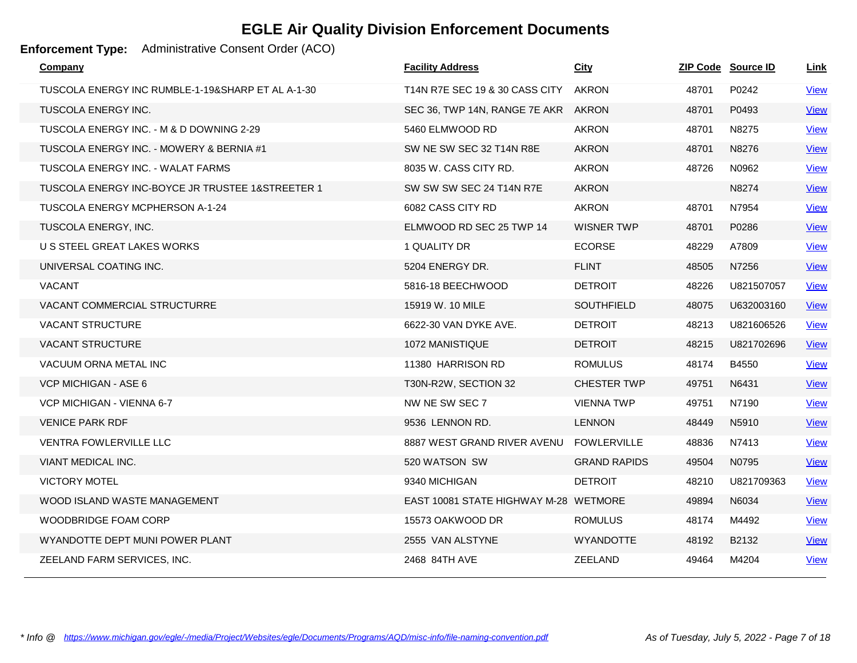### **Enforcement Type:** Administrative Consent Order (ACO)

| Company                                           | <b>Facility Address</b>               | <b>City</b>         |       | ZIP Code Source ID | <u>Link</u> |
|---------------------------------------------------|---------------------------------------|---------------------|-------|--------------------|-------------|
| TUSCOLA ENERGY INC RUMBLE-1-19&SHARP ET AL A-1-30 | T14N R7E SEC 19 & 30 CASS CITY        | AKRON               | 48701 | P0242              | <b>View</b> |
| <b>TUSCOLA ENERGY INC.</b>                        | SEC 36, TWP 14N, RANGE 7E AKR         | <b>AKRON</b>        | 48701 | P0493              | <b>View</b> |
| TUSCOLA ENERGY INC. - M & D DOWNING 2-29          | 5460 ELMWOOD RD                       | <b>AKRON</b>        | 48701 | N8275              | <b>View</b> |
| TUSCOLA ENERGY INC. - MOWERY & BERNIA #1          | SW NE SW SEC 32 T14N R8E              | <b>AKRON</b>        | 48701 | N8276              | <b>View</b> |
| TUSCOLA ENERGY INC. - WALAT FARMS                 | 8035 W. CASS CITY RD.                 | <b>AKRON</b>        | 48726 | N0962              | <b>View</b> |
| TUSCOLA ENERGY INC-BOYCE JR TRUSTEE 1&STREETER 1  | SW SW SW SEC 24 T14N R7E              | <b>AKRON</b>        |       | N8274              | <b>View</b> |
| TUSCOLA ENERGY MCPHERSON A-1-24                   | 6082 CASS CITY RD                     | <b>AKRON</b>        | 48701 | N7954              | <b>View</b> |
| TUSCOLA ENERGY, INC.                              | ELMWOOD RD SEC 25 TWP 14              | <b>WISNER TWP</b>   | 48701 | P0286              | <b>View</b> |
| U S STEEL GREAT LAKES WORKS                       | 1 QUALITY DR                          | <b>ECORSE</b>       | 48229 | A7809              | <b>View</b> |
| UNIVERSAL COATING INC.                            | 5204 ENERGY DR.                       | <b>FLINT</b>        | 48505 | N7256              | <b>View</b> |
| <b>VACANT</b>                                     | 5816-18 BEECHWOOD                     | <b>DETROIT</b>      | 48226 | U821507057         | <b>View</b> |
| VACANT COMMERCIAL STRUCTURRE                      | 15919 W. 10 MILE                      | <b>SOUTHFIELD</b>   | 48075 | U632003160         | <b>View</b> |
| <b>VACANT STRUCTURE</b>                           | 6622-30 VAN DYKE AVE.                 | <b>DETROIT</b>      | 48213 | U821606526         | <b>View</b> |
| <b>VACANT STRUCTURE</b>                           | 1072 MANISTIQUE                       | <b>DETROIT</b>      | 48215 | U821702696         | <b>View</b> |
| VACUUM ORNA METAL INC                             | 11380 HARRISON RD                     | <b>ROMULUS</b>      | 48174 | B4550              | <b>View</b> |
| VCP MICHIGAN - ASE 6                              | T30N-R2W, SECTION 32                  | <b>CHESTER TWP</b>  | 49751 | N6431              | <b>View</b> |
| VCP MICHIGAN - VIENNA 6-7                         | NW NE SW SEC 7                        | <b>VIENNA TWP</b>   | 49751 | N7190              | <b>View</b> |
| <b>VENICE PARK RDF</b>                            | 9536 LENNON RD.                       | <b>LENNON</b>       | 48449 | N5910              | <b>View</b> |
| <b>VENTRA FOWLERVILLE LLC</b>                     | 8887 WEST GRAND RIVER AVENU           | <b>FOWLERVILLE</b>  | 48836 | N7413              | <b>View</b> |
| VIANT MEDICAL INC.                                | 520 WATSON SW                         | <b>GRAND RAPIDS</b> | 49504 | N0795              | <b>View</b> |
| <b>VICTORY MOTEL</b>                              | 9340 MICHIGAN                         | <b>DETROIT</b>      | 48210 | U821709363         | <b>View</b> |
| WOOD ISLAND WASTE MANAGEMENT                      | EAST 10081 STATE HIGHWAY M-28 WETMORE |                     | 49894 | N6034              | <b>View</b> |
| WOODBRIDGE FOAM CORP                              | 15573 OAKWOOD DR                      | <b>ROMULUS</b>      | 48174 | M4492              | <b>View</b> |
| WYANDOTTE DEPT MUNI POWER PLANT                   | 2555 VAN ALSTYNE                      | <b>WYANDOTTE</b>    | 48192 | B2132              | <b>View</b> |
| ZEELAND FARM SERVICES, INC.                       | 2468 84TH AVE                         | <b>ZEELAND</b>      | 49464 | M4204              | <b>View</b> |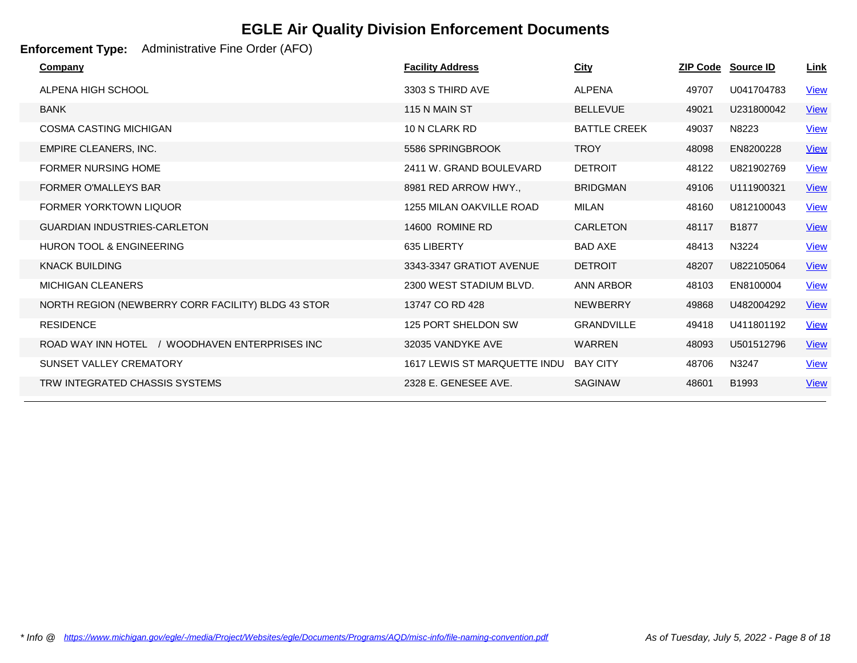### **Enforcement Type:** Administrative Fine Order (AFO)

| Company                  |                                                    | <b>Facility Address</b>             | <b>City</b>         |       | ZIP Code Source ID | <u>Link</u> |
|--------------------------|----------------------------------------------------|-------------------------------------|---------------------|-------|--------------------|-------------|
|                          | ALPENA HIGH SCHOOL                                 | 3303 S THIRD AVE                    | <b>ALPENA</b>       | 49707 | U041704783         | <b>View</b> |
| <b>BANK</b>              |                                                    | 115 N MAIN ST                       | <b>BELLEVUE</b>     | 49021 | U231800042         | <b>View</b> |
|                          | <b>COSMA CASTING MICHIGAN</b>                      | 10 N CLARK RD                       | <b>BATTLE CREEK</b> | 49037 | N8223              | <b>View</b> |
|                          | EMPIRE CLEANERS, INC.                              | 5586 SPRINGBROOK                    | <b>TROY</b>         | 48098 | EN8200228          | <b>View</b> |
|                          | <b>FORMER NURSING HOME</b>                         | 2411 W. GRAND BOULEVARD             | <b>DETROIT</b>      | 48122 | U821902769         | <b>View</b> |
|                          | <b>FORMER O'MALLEYS BAR</b>                        | 8981 RED ARROW HWY.,                | <b>BRIDGMAN</b>     | 49106 | U111900321         | <b>View</b> |
|                          | <b>FORMER YORKTOWN LIQUOR</b>                      | 1255 MILAN OAKVILLE ROAD            | <b>MILAN</b>        | 48160 | U812100043         | <b>View</b> |
|                          | <b>GUARDIAN INDUSTRIES-CARLETON</b>                | 14600 ROMINE RD                     | <b>CARLETON</b>     | 48117 | B1877              | <b>View</b> |
|                          | <b>HURON TOOL &amp; ENGINEERING</b>                | 635 LIBERTY                         | <b>BAD AXE</b>      | 48413 | N3224              | <b>View</b> |
| <b>KNACK BUILDING</b>    |                                                    | 3343-3347 GRATIOT AVENUE            | <b>DETROIT</b>      | 48207 | U822105064         | <b>View</b> |
| <b>MICHIGAN CLEANERS</b> |                                                    | 2300 WEST STADIUM BLVD.             | <b>ANN ARBOR</b>    | 48103 | EN8100004          | <b>View</b> |
|                          | NORTH REGION (NEWBERRY CORR FACILITY) BLDG 43 STOR | 13747 CO RD 428                     | <b>NEWBERRY</b>     | 49868 | U482004292         | <b>View</b> |
| <b>RESIDENCE</b>         |                                                    | 125 PORT SHELDON SW                 | <b>GRANDVILLE</b>   | 49418 | U411801192         | <b>View</b> |
|                          | ROAD WAY INN HOTEL<br>/ WOODHAVEN ENTERPRISES INC  | 32035 VANDYKE AVE                   | <b>WARREN</b>       | 48093 | U501512796         | <b>View</b> |
|                          | <b>SUNSET VALLEY CREMATORY</b>                     | <b>1617 LEWIS ST MARQUETTE INDU</b> | <b>BAY CITY</b>     | 48706 | N3247              | <b>View</b> |
|                          | TRW INTEGRATED CHASSIS SYSTEMS                     | 2328 E. GENESEE AVE.                | <b>SAGINAW</b>      | 48601 | B1993              | <b>View</b> |
|                          |                                                    |                                     |                     |       |                    |             |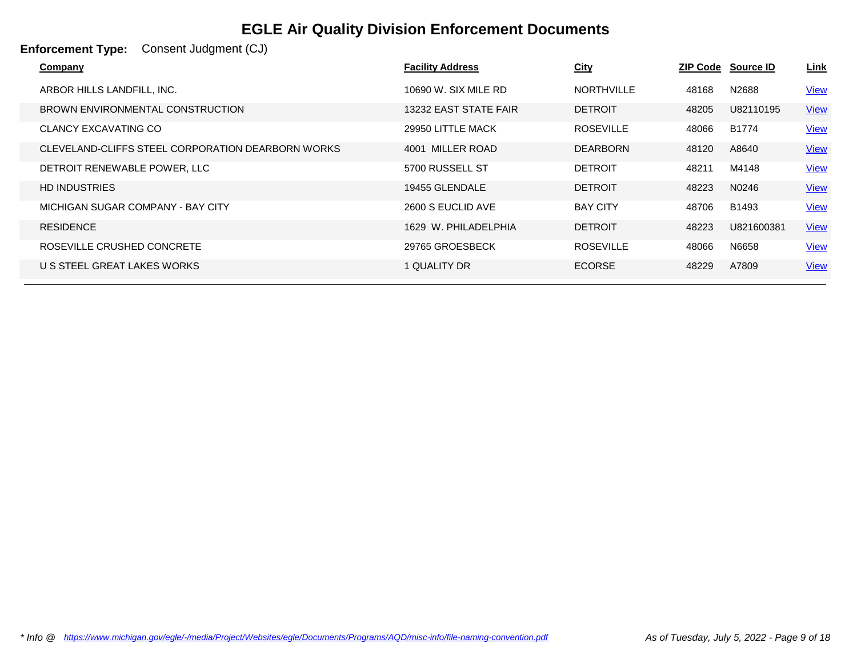| <b>Enforcement Type:</b><br>Consent Judgment (CJ) |                         |                   |       |                           |             |
|---------------------------------------------------|-------------------------|-------------------|-------|---------------------------|-------------|
| Company                                           | <b>Facility Address</b> | <b>City</b>       |       | <b>ZIP Code Source ID</b> | <u>Link</u> |
| ARBOR HILLS LANDFILL, INC.                        | 10690 W. SIX MILE RD    | <b>NORTHVILLE</b> | 48168 | N2688                     | <u>View</u> |
| BROWN ENVIRONMENTAL CONSTRUCTION                  | 13232 EAST STATE FAIR   | <b>DETROIT</b>    | 48205 | U82110195                 | <b>View</b> |
| <b>CLANCY EXCAVATING CO</b>                       | 29950 LITTLE MACK       | <b>ROSEVILLE</b>  | 48066 | B1774                     | <b>View</b> |
| CLEVELAND-CLIFFS STEEL CORPORATION DEARBORN WORKS | 4001 MILLER ROAD        | <b>DEARBORN</b>   | 48120 | A8640                     | <b>View</b> |
| DETROIT RENEWABLE POWER, LLC                      | 5700 RUSSELL ST         | <b>DETROIT</b>    | 48211 | M4148                     | <b>View</b> |
| <b>HD INDUSTRIES</b>                              | 19455 GLENDALE          | <b>DETROIT</b>    | 48223 | N0246                     | <b>View</b> |
| MICHIGAN SUGAR COMPANY - BAY CITY                 | 2600 S EUCLID AVE       | <b>BAY CITY</b>   | 48706 | B1493                     | <b>View</b> |
| <b>RESIDENCE</b>                                  | 1629 W. PHILADELPHIA    | <b>DETROIT</b>    | 48223 | U821600381                | <b>View</b> |
| ROSEVILLE CRUSHED CONCRETE                        | 29765 GROESBECK         | <b>ROSEVILLE</b>  | 48066 | N6658                     | <b>View</b> |
| U S STEEL GREAT LAKES WORKS                       | 1 QUALITY DR            | <b>ECORSE</b>     | 48229 | A7809                     | <b>View</b> |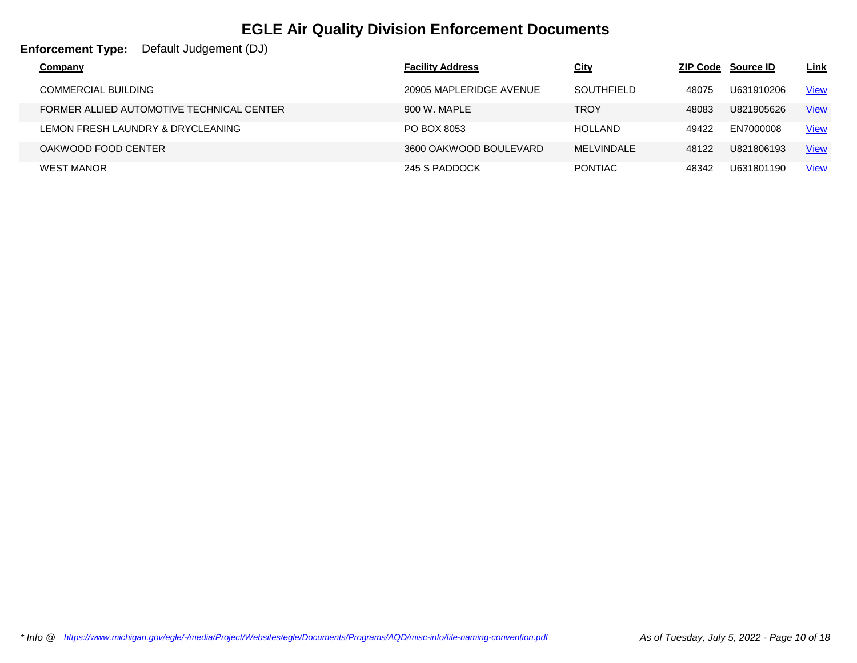| <b>Enforcement Type:</b><br>Default Judgement (DJ) |                         |                   |       |                           |             |
|----------------------------------------------------|-------------------------|-------------------|-------|---------------------------|-------------|
| <b>Company</b>                                     | <b>Facility Address</b> | <b>City</b>       |       | <b>ZIP Code Source ID</b> | <u>Link</u> |
| <b>COMMERCIAL BUILDING</b>                         | 20905 MAPLERIDGE AVENUE | <b>SOUTHFIELD</b> | 48075 | U631910206                | <u>View</u> |
| FORMER ALLIED AUTOMOTIVE TECHNICAL CENTER          | 900 W. MAPLE            | <b>TROY</b>       | 48083 | U821905626                | <b>View</b> |
| LEMON FRESH LAUNDRY & DRYCLEANING                  | PO BOX 8053             | <b>HOLLAND</b>    | 49422 | EN7000008                 | <b>View</b> |
| OAKWOOD FOOD CENTER                                | 3600 OAKWOOD BOULEVARD  | MELVINDALE        | 48122 | U821806193                | <b>View</b> |
| <b>WEST MANOR</b>                                  | 245 S PADDOCK           | <b>PONTIAC</b>    | 48342 | U631801190                | <b>View</b> |
|                                                    |                         |                   |       |                           |             |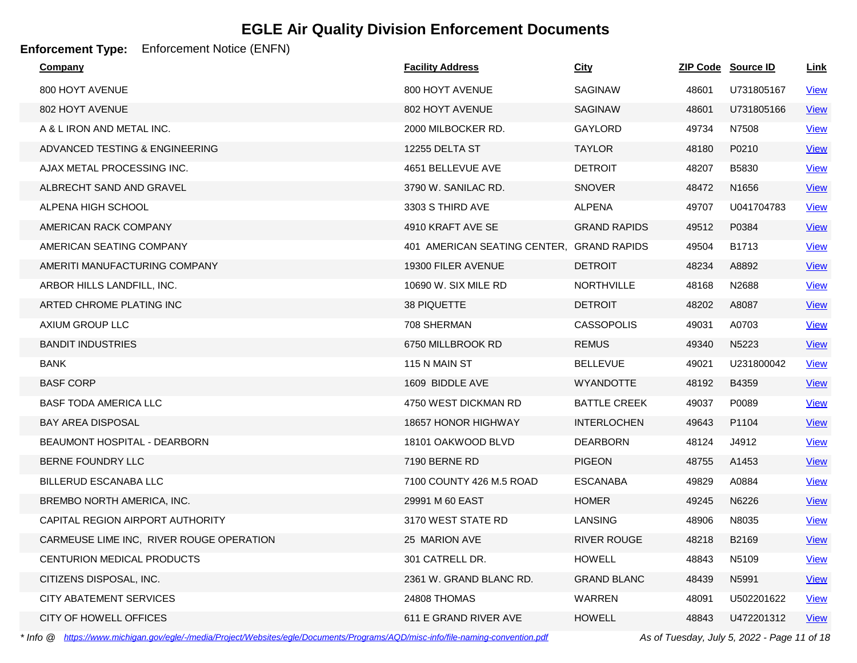### **Enforcement Type:** Enforcement Notice (ENFN)

| <b>Company</b>                           | <b>Facility Address</b>      | <b>City</b>         |       | ZIP Code Source ID | <u>Link</u> |
|------------------------------------------|------------------------------|---------------------|-------|--------------------|-------------|
| 800 HOYT AVENUE                          | 800 HOYT AVENUE              | <b>SAGINAW</b>      | 48601 | U731805167         | <b>View</b> |
| 802 HOYT AVENUE                          | 802 HOYT AVENUE              | SAGINAW             | 48601 | U731805166         | <b>View</b> |
| A & L IRON AND METAL INC.                | 2000 MILBOCKER RD.           | <b>GAYLORD</b>      | 49734 | N7508              | <u>View</u> |
| ADVANCED TESTING & ENGINEERING           | 12255 DELTA ST               | <b>TAYLOR</b>       | 48180 | P0210              | <u>View</u> |
| AJAX METAL PROCESSING INC.               | 4651 BELLEVUE AVE            | <b>DETROIT</b>      | 48207 | B5830              | <b>View</b> |
| ALBRECHT SAND AND GRAVEL                 | 3790 W. SANILAC RD.          | <b>SNOVER</b>       | 48472 | N1656              | <b>View</b> |
| ALPENA HIGH SCHOOL                       | 3303 S THIRD AVE             | <b>ALPENA</b>       | 49707 | U041704783         | <b>View</b> |
| AMERICAN RACK COMPANY                    | 4910 KRAFT AVE SE            | <b>GRAND RAPIDS</b> | 49512 | P0384              | <b>View</b> |
| AMERICAN SEATING COMPANY                 | 401 AMERICAN SEATING CENTER, | <b>GRAND RAPIDS</b> | 49504 | B1713              | <b>View</b> |
| AMERITI MANUFACTURING COMPANY            | 19300 FILER AVENUE           | <b>DETROIT</b>      | 48234 | A8892              | <b>View</b> |
| ARBOR HILLS LANDFILL, INC.               | 10690 W. SIX MILE RD         | <b>NORTHVILLE</b>   | 48168 | N2688              | <b>View</b> |
| ARTED CHROME PLATING INC                 | 38 PIQUETTE                  | <b>DETROIT</b>      | 48202 | A8087              | <b>View</b> |
| AXIUM GROUP LLC                          | 708 SHERMAN                  | <b>CASSOPOLIS</b>   | 49031 | A0703              | <u>View</u> |
| <b>BANDIT INDUSTRIES</b>                 | 6750 MILLBROOK RD            | <b>REMUS</b>        | 49340 | N5223              | <u>View</u> |
| <b>BANK</b>                              | 115 N MAIN ST                | <b>BELLEVUE</b>     | 49021 | U231800042         | <b>View</b> |
| <b>BASF CORP</b>                         | 1609 BIDDLE AVE              | <b>WYANDOTTE</b>    | 48192 | B4359              | <b>View</b> |
| <b>BASF TODA AMERICA LLC</b>             | 4750 WEST DICKMAN RD         | <b>BATTLE CREEK</b> | 49037 | P0089              | <b>View</b> |
| <b>BAY AREA DISPOSAL</b>                 | 18657 HONOR HIGHWAY          | <b>INTERLOCHEN</b>  | 49643 | P1104              | <b>View</b> |
| <b>BEAUMONT HOSPITAL - DEARBORN</b>      | 18101 OAKWOOD BLVD           | <b>DEARBORN</b>     | 48124 | J4912              | <b>View</b> |
| BERNE FOUNDRY LLC                        | 7190 BERNE RD                | <b>PIGEON</b>       | 48755 | A1453              | <b>View</b> |
| BILLERUD ESCANABA LLC                    | 7100 COUNTY 426 M.5 ROAD     | <b>ESCANABA</b>     | 49829 | A0884              | <u>View</u> |
| BREMBO NORTH AMERICA, INC.               | 29991 M 60 EAST              | <b>HOMER</b>        | 49245 | N6226              | <u>View</u> |
| CAPITAL REGION AIRPORT AUTHORITY         | 3170 WEST STATE RD           | <b>LANSING</b>      | 48906 | N8035              | <u>View</u> |
| CARMEUSE LIME INC, RIVER ROUGE OPERATION | 25 MARION AVE                | <b>RIVER ROUGE</b>  | 48218 | B2169              | <b>View</b> |
| CENTURION MEDICAL PRODUCTS               | 301 CATRELL DR.              | <b>HOWELL</b>       | 48843 | N5109              | <b>View</b> |
| CITIZENS DISPOSAL, INC.                  | 2361 W. GRAND BLANC RD.      | <b>GRAND BLANC</b>  | 48439 | N5991              | <b>View</b> |
| CITY ABATEMENT SERVICES                  | 24808 THOMAS                 | WARREN              | 48091 | U502201622         | <u>View</u> |
| CITY OF HOWELL OFFICES                   | 611 E GRAND RIVER AVE        | <b>HOWELL</b>       | 48843 | U472201312         | <b>View</b> |

*\* Info @ https://www.michigan.gov/egle/-/media/Project/Websites/egle/Documents/Programs/AQD/misc-info/file-naming-convention.pdf As of Tuesday, July 5, 2022 - Page 11 of 18*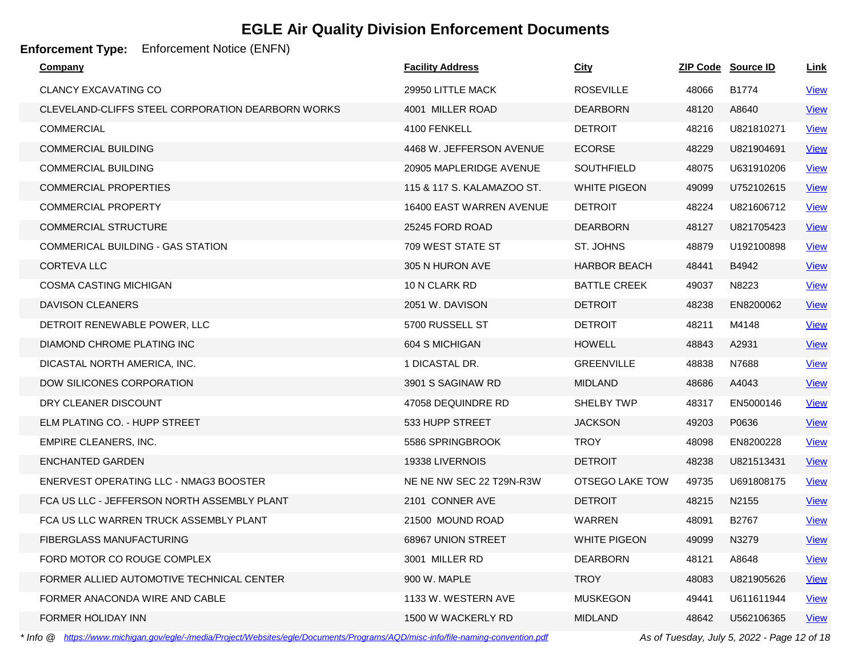### **Enforcement Type:** Enforcement Notice (ENFN)

| <b>Company</b>                                    | <b>Facility Address</b>    | <b>City</b>         |       | ZIP Code Source ID | <u>Link</u> |
|---------------------------------------------------|----------------------------|---------------------|-------|--------------------|-------------|
| <b>CLANCY EXCAVATING CO</b>                       | 29950 LITTLE MACK          | <b>ROSEVILLE</b>    | 48066 | B1774              | <b>View</b> |
| CLEVELAND-CLIFFS STEEL CORPORATION DEARBORN WORKS | 4001 MILLER ROAD           | <b>DEARBORN</b>     | 48120 | A8640              | <b>View</b> |
| <b>COMMERCIAL</b>                                 | 4100 FENKELL               | <b>DETROIT</b>      | 48216 | U821810271         | <b>View</b> |
| <b>COMMERCIAL BUILDING</b>                        | 4468 W. JEFFERSON AVENUE   | <b>ECORSE</b>       | 48229 | U821904691         | <b>View</b> |
| <b>COMMERCIAL BUILDING</b>                        | 20905 MAPLERIDGE AVENUE    | <b>SOUTHFIELD</b>   | 48075 | U631910206         | <b>View</b> |
| <b>COMMERCIAL PROPERTIES</b>                      | 115 & 117 S. KALAMAZOO ST. | <b>WHITE PIGEON</b> | 49099 | U752102615         | <b>View</b> |
| <b>COMMERCIAL PROPERTY</b>                        | 16400 EAST WARREN AVENUE   | <b>DETROIT</b>      | 48224 | U821606712         | <b>View</b> |
| <b>COMMERCIAL STRUCTURE</b>                       | 25245 FORD ROAD            | <b>DEARBORN</b>     | 48127 | U821705423         | <u>View</u> |
| COMMERICAL BUILDING - GAS STATION                 | 709 WEST STATE ST          | ST. JOHNS           | 48879 | U192100898         | <u>View</u> |
| <b>CORTEVALLC</b>                                 | 305 N HURON AVE            | <b>HARBOR BEACH</b> | 48441 | B4942              | <b>View</b> |
| <b>COSMA CASTING MICHIGAN</b>                     | 10 N CLARK RD              | <b>BATTLE CREEK</b> | 49037 | N8223              | <u>View</u> |
| <b>DAVISON CLEANERS</b>                           | 2051 W. DAVISON            | <b>DETROIT</b>      | 48238 | EN8200062          | <b>View</b> |
| DETROIT RENEWABLE POWER, LLC                      | 5700 RUSSELL ST            | <b>DETROIT</b>      | 48211 | M4148              | <b>View</b> |
| DIAMOND CHROME PLATING INC                        | 604 S MICHIGAN             | <b>HOWELL</b>       | 48843 | A2931              | <b>View</b> |
| DICASTAL NORTH AMERICA, INC.                      | 1 DICASTAL DR.             | <b>GREENVILLE</b>   | 48838 | N7688              | <b>View</b> |
| DOW SILICONES CORPORATION                         | 3901 S SAGINAW RD          | <b>MIDLAND</b>      | 48686 | A4043              | <u>View</u> |
| DRY CLEANER DISCOUNT                              | 47058 DEQUINDRE RD         | <b>SHELBY TWP</b>   | 48317 | EN5000146          | <b>View</b> |
| ELM PLATING CO. - HUPP STREET                     | 533 HUPP STREET            | <b>JACKSON</b>      | 49203 | P0636              | <u>View</u> |
| EMPIRE CLEANERS, INC.                             | 5586 SPRINGBROOK           | <b>TROY</b>         | 48098 | EN8200228          | <b>View</b> |
| <b>ENCHANTED GARDEN</b>                           | 19338 LIVERNOIS            | <b>DETROIT</b>      | 48238 | U821513431         | <u>View</u> |
| ENERVEST OPERATING LLC - NMAG3 BOOSTER            | NE NE NW SEC 22 T29N-R3W   | OTSEGO LAKE TOW     | 49735 | U691808175         | <b>View</b> |
| FCA US LLC - JEFFERSON NORTH ASSEMBLY PLANT       | 2101 CONNER AVE            | <b>DETROIT</b>      | 48215 | N2155              | <u>View</u> |
| FCA US LLC WARREN TRUCK ASSEMBLY PLANT            | 21500 MOUND ROAD           | WARREN              | 48091 | B2767              | <b>View</b> |
| <b>FIBERGLASS MANUFACTURING</b>                   | 68967 UNION STREET         | <b>WHITE PIGEON</b> | 49099 | N3279              | <b>View</b> |
| FORD MOTOR CO ROUGE COMPLEX                       | 3001 MILLER RD             | <b>DEARBORN</b>     | 48121 | A8648              | <b>View</b> |
| FORMER ALLIED AUTOMOTIVE TECHNICAL CENTER         | 900 W. MAPLE               | <b>TROY</b>         | 48083 | U821905626         | <b>View</b> |
| FORMER ANACONDA WIRE AND CABLE                    | 1133 W. WESTERN AVE        | <b>MUSKEGON</b>     | 49441 | U611611944         | <u>View</u> |
| FORMER HOLIDAY INN                                | 1500 W WACKERLY RD         | <b>MIDLAND</b>      | 48642 | U562106365         | <b>View</b> |

*\* Info @ https://www.michigan.gov/egle/-/media/Project/Websites/egle/Documents/Programs/AQD/misc-info/file-naming-convention.pdf As of Tuesday, July 5, 2022 - Page 12 of 18*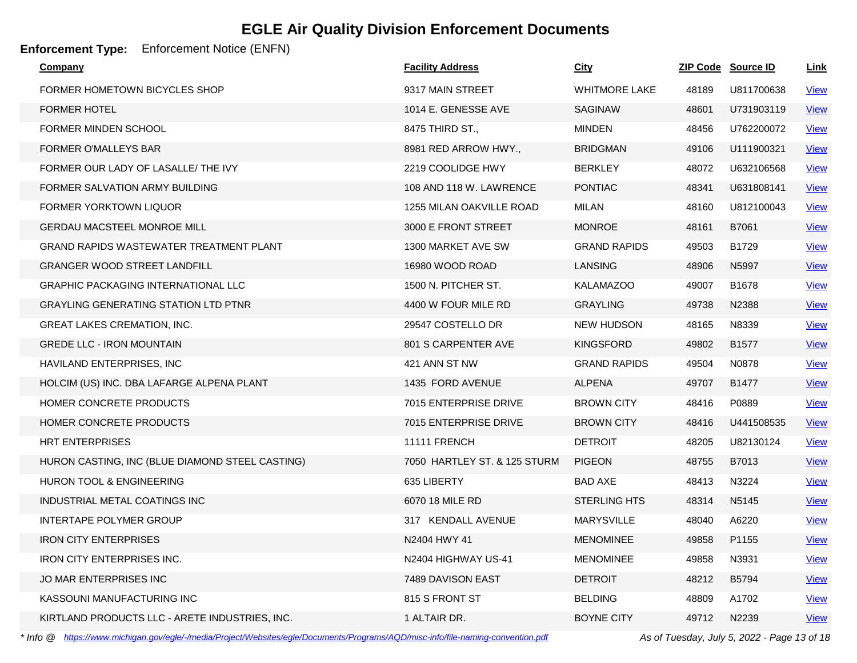### **Enforcement Type:** Enforcement Notice (ENFN)

| Company                                         | <b>Facility Address</b>      | <u>City</u>          |       | ZIP Code Source ID | <u>Link</u> |
|-------------------------------------------------|------------------------------|----------------------|-------|--------------------|-------------|
| FORMER HOMETOWN BICYCLES SHOP                   | 9317 MAIN STREET             | <b>WHITMORE LAKE</b> | 48189 | U811700638         | <b>View</b> |
| <b>FORMER HOTEL</b>                             | 1014 E. GENESSE AVE          | <b>SAGINAW</b>       | 48601 | U731903119         | <b>View</b> |
| FORMER MINDEN SCHOOL                            | 8475 THIRD ST.,              | <b>MINDEN</b>        | 48456 | U762200072         | <b>View</b> |
| <b>FORMER O'MALLEYS BAR</b>                     | 8981 RED ARROW HWY.,         | <b>BRIDGMAN</b>      | 49106 | U111900321         | <b>View</b> |
| FORMER OUR LADY OF LASALLE/ THE IVY             | 2219 COOLIDGE HWY            | <b>BERKLEY</b>       | 48072 | U632106568         | <b>View</b> |
| FORMER SALVATION ARMY BUILDING                  | 108 AND 118 W. LAWRENCE      | <b>PONTIAC</b>       | 48341 | U631808141         | <b>View</b> |
| <b>FORMER YORKTOWN LIQUOR</b>                   | 1255 MILAN OAKVILLE ROAD     | <b>MILAN</b>         | 48160 | U812100043         | <b>View</b> |
| <b>GERDAU MACSTEEL MONROE MILL</b>              | 3000 E FRONT STREET          | <b>MONROE</b>        | 48161 | B7061              | <b>View</b> |
| GRAND RAPIDS WASTEWATER TREATMENT PLANT         | 1300 MARKET AVE SW           | <b>GRAND RAPIDS</b>  | 49503 | B1729              | <b>View</b> |
| <b>GRANGER WOOD STREET LANDFILL</b>             | 16980 WOOD ROAD              | <b>LANSING</b>       | 48906 | N5997              | <b>View</b> |
| <b>GRAPHIC PACKAGING INTERNATIONAL LLC</b>      | 1500 N. PITCHER ST.          | <b>KALAMAZOO</b>     | 49007 | B1678              | <b>View</b> |
| <b>GRAYLING GENERATING STATION LTD PTNR</b>     | 4400 W FOUR MILE RD          | <b>GRAYLING</b>      | 49738 | N2388              | <b>View</b> |
| <b>GREAT LAKES CREMATION, INC.</b>              | 29547 COSTELLO DR            | <b>NEW HUDSON</b>    | 48165 | N8339              | <b>View</b> |
| <b>GREDE LLC - IRON MOUNTAIN</b>                | 801 S CARPENTER AVE          | <b>KINGSFORD</b>     | 49802 | B1577              | <u>View</u> |
| HAVILAND ENTERPRISES, INC                       | 421 ANN ST NW                | <b>GRAND RAPIDS</b>  | 49504 | N0878              | <b>View</b> |
| HOLCIM (US) INC. DBA LAFARGE ALPENA PLANT       | 1435 FORD AVENUE             | <b>ALPENA</b>        | 49707 | B1477              | <b>View</b> |
| HOMER CONCRETE PRODUCTS                         | 7015 ENTERPRISE DRIVE        | <b>BROWN CITY</b>    | 48416 | P0889              | <b>View</b> |
| HOMER CONCRETE PRODUCTS                         | 7015 ENTERPRISE DRIVE        | <b>BROWN CITY</b>    | 48416 | U441508535         | <b>View</b> |
| <b>HRT ENTERPRISES</b>                          | <b>11111 FRENCH</b>          | <b>DETROIT</b>       | 48205 | U82130124          | <u>View</u> |
| HURON CASTING, INC (BLUE DIAMOND STEEL CASTING) | 7050 HARTLEY ST. & 125 STURM | <b>PIGEON</b>        | 48755 | B7013              | <b>View</b> |
| <b>HURON TOOL &amp; ENGINEERING</b>             | 635 LIBERTY                  | <b>BAD AXE</b>       | 48413 | N3224              | <b>View</b> |
| INDUSTRIAL METAL COATINGS INC                   | 6070 18 MILE RD              | <b>STERLING HTS</b>  | 48314 | N5145              | <b>View</b> |
| INTERTAPE POLYMER GROUP                         | 317 KENDALL AVENUE           | <b>MARYSVILLE</b>    | 48040 | A6220              | <b>View</b> |
| <b>IRON CITY ENTERPRISES</b>                    | N2404 HWY 41                 | <b>MENOMINEE</b>     | 49858 | P1155              | <u>View</u> |
| <b>IRON CITY ENTERPRISES INC.</b>               | N2404 HIGHWAY US-41          | <b>MENOMINEE</b>     | 49858 | N3931              | <u>View</u> |
| JO MAR ENTERPRISES INC                          | 7489 DAVISON EAST            | <b>DETROIT</b>       | 48212 | B5794              | <u>View</u> |
| KASSOUNI MANUFACTURING INC                      | 815 S FRONT ST               | <b>BELDING</b>       | 48809 | A1702              | <b>View</b> |
| KIRTLAND PRODUCTS LLC - ARETE INDUSTRIES, INC.  | 1 ALTAIR DR.                 | <b>BOYNE CITY</b>    | 49712 | N2239              | <b>View</b> |

*\* Info @ https://www.michigan.gov/egle/-/media/Project/Websites/egle/Documents/Programs/AQD/misc-info/file-naming-convention.pdf As of Tuesday, July 5, 2022 - Page 13 of 18*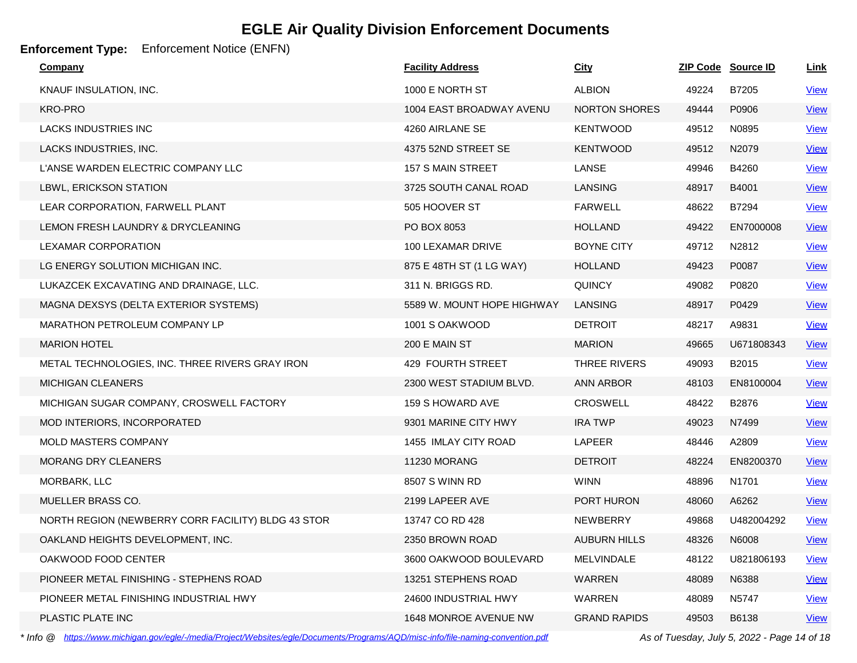### **Enforcement Type:** Enforcement Notice (ENFN)

| <b>Company</b>                                     | <b>Facility Address</b>    | <b>City</b>          |       | ZIP Code Source ID | <u>Link</u> |
|----------------------------------------------------|----------------------------|----------------------|-------|--------------------|-------------|
| KNAUF INSULATION, INC.                             | 1000 E NORTH ST            | <b>ALBION</b>        | 49224 | B7205              | <b>View</b> |
| <b>KRO-PRO</b>                                     | 1004 EAST BROADWAY AVENU   | <b>NORTON SHORES</b> | 49444 | P0906              | <b>View</b> |
| <b>LACKS INDUSTRIES INC</b>                        | 4260 AIRLANE SE            | <b>KENTWOOD</b>      | 49512 | N0895              | <b>View</b> |
| LACKS INDUSTRIES, INC.                             | 4375 52ND STREET SE        | <b>KENTWOOD</b>      | 49512 | N2079              | <b>View</b> |
| L'ANSE WARDEN ELECTRIC COMPANY LLC                 | 157 S MAIN STREET          | LANSE                | 49946 | B4260              | <b>View</b> |
| LBWL, ERICKSON STATION                             | 3725 SOUTH CANAL ROAD      | LANSING              | 48917 | B4001              | <b>View</b> |
| LEAR CORPORATION, FARWELL PLANT                    | 505 HOOVER ST              | <b>FARWELL</b>       | 48622 | B7294              | <b>View</b> |
| LEMON FRESH LAUNDRY & DRYCLEANING                  | PO BOX 8053                | <b>HOLLAND</b>       | 49422 | EN7000008          | <b>View</b> |
| LEXAMAR CORPORATION                                | 100 LEXAMAR DRIVE          | <b>BOYNE CITY</b>    | 49712 | N2812              | <b>View</b> |
| LG ENERGY SOLUTION MICHIGAN INC.                   | 875 E 48TH ST (1 LG WAY)   | <b>HOLLAND</b>       | 49423 | P0087              | <b>View</b> |
| LUKAZCEK EXCAVATING AND DRAINAGE, LLC.             | 311 N. BRIGGS RD.          | <b>QUINCY</b>        | 49082 | P0820              | <b>View</b> |
| MAGNA DEXSYS (DELTA EXTERIOR SYSTEMS)              | 5589 W. MOUNT HOPE HIGHWAY | <b>LANSING</b>       | 48917 | P0429              | <b>View</b> |
| MARATHON PETROLEUM COMPANY LP                      | 1001 S OAKWOOD             | <b>DETROIT</b>       | 48217 | A9831              | <b>View</b> |
| <b>MARION HOTEL</b>                                | 200 E MAIN ST              | <b>MARION</b>        | 49665 | U671808343         | <b>View</b> |
| METAL TECHNOLOGIES, INC. THREE RIVERS GRAY IRON    | 429 FOURTH STREET          | THREE RIVERS         | 49093 | B2015              | <b>View</b> |
| <b>MICHIGAN CLEANERS</b>                           | 2300 WEST STADIUM BLVD.    | <b>ANN ARBOR</b>     | 48103 | EN8100004          | <b>View</b> |
| MICHIGAN SUGAR COMPANY, CROSWELL FACTORY           | 159 S HOWARD AVE           | <b>CROSWELL</b>      | 48422 | B2876              | <b>View</b> |
| MOD INTERIORS, INCORPORATED                        | 9301 MARINE CITY HWY       | <b>IRA TWP</b>       | 49023 | N7499              | <b>View</b> |
| MOLD MASTERS COMPANY                               | 1455 IMLAY CITY ROAD       | LAPEER               | 48446 | A2809              | <b>View</b> |
| MORANG DRY CLEANERS                                | 11230 MORANG               | <b>DETROIT</b>       | 48224 | EN8200370          | <b>View</b> |
| MORBARK, LLC                                       | 8507 S WINN RD             | <b>WINN</b>          | 48896 | N <sub>1701</sub>  | <b>View</b> |
| MUELLER BRASS CO.                                  | 2199 LAPEER AVE            | PORT HURON           | 48060 | A6262              | <u>View</u> |
| NORTH REGION (NEWBERRY CORR FACILITY) BLDG 43 STOR | 13747 CO RD 428            | NEWBERRY             | 49868 | U482004292         | <b>View</b> |
| OAKLAND HEIGHTS DEVELOPMENT, INC.                  | 2350 BROWN ROAD            | <b>AUBURN HILLS</b>  | 48326 | N6008              | <b>View</b> |
| OAKWOOD FOOD CENTER                                | 3600 OAKWOOD BOULEVARD     | <b>MELVINDALE</b>    | 48122 | U821806193         | <u>View</u> |
| PIONEER METAL FINISHING - STEPHENS ROAD            | 13251 STEPHENS ROAD        | WARREN               | 48089 | N6388              | <b>View</b> |
| PIONEER METAL FINISHING INDUSTRIAL HWY             | 24600 INDUSTRIAL HWY       | WARREN               | 48089 | N5747              | <b>View</b> |
| PLASTIC PLATE INC                                  | 1648 MONROE AVENUE NW      | <b>GRAND RAPIDS</b>  | 49503 | B6138              | <b>View</b> |

*\* Info @ https://www.michigan.gov/egle/-/media/Project/Websites/egle/Documents/Programs/AQD/misc-info/file-naming-convention.pdf As of Tuesday, July 5, 2022 - Page 14 of 18*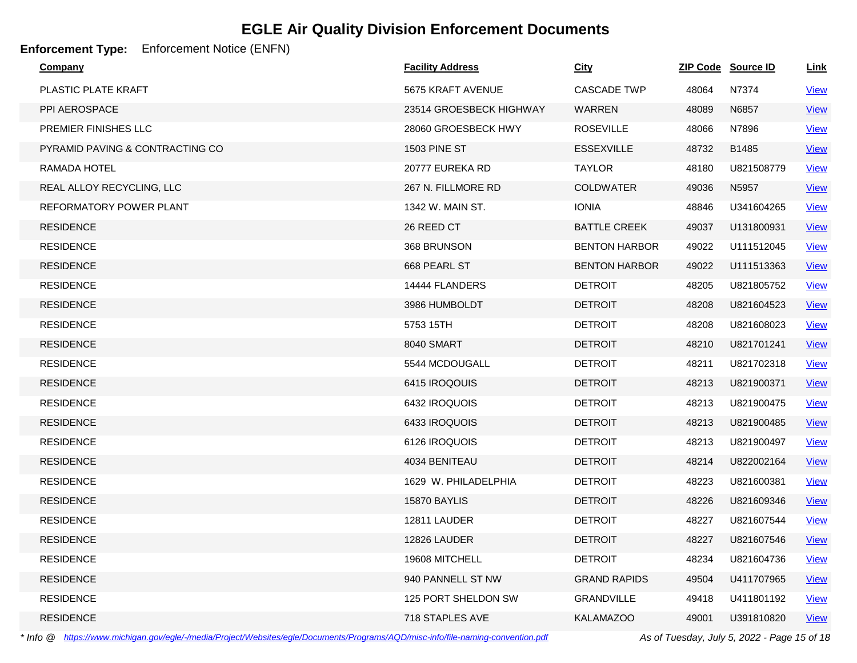### **Enforcement Type:** Enforcement Notice (ENFN)

| <b>Company</b>                  | <b>Facility Address</b> | <b>City</b>          |       | ZIP Code Source ID | <u>Link</u> |
|---------------------------------|-------------------------|----------------------|-------|--------------------|-------------|
| <b>PLASTIC PLATE KRAFT</b>      | 5675 KRAFT AVENUE       | <b>CASCADE TWP</b>   | 48064 | N7374              | <b>View</b> |
| PPI AEROSPACE                   | 23514 GROESBECK HIGHWAY | WARREN               | 48089 | N6857              | <b>View</b> |
| PREMIER FINISHES LLC            | 28060 GROESBECK HWY     | <b>ROSEVILLE</b>     | 48066 | N7896              | <b>View</b> |
| PYRAMID PAVING & CONTRACTING CO | <b>1503 PINE ST</b>     | <b>ESSEXVILLE</b>    | 48732 | B1485              | <b>View</b> |
| RAMADA HOTEL                    | 20777 EUREKA RD         | <b>TAYLOR</b>        | 48180 | U821508779         | <b>View</b> |
| REAL ALLOY RECYCLING, LLC       | 267 N. FILLMORE RD      | <b>COLDWATER</b>     | 49036 | N5957              | <b>View</b> |
| REFORMATORY POWER PLANT         | 1342 W. MAIN ST.        | <b>IONIA</b>         | 48846 | U341604265         | <b>View</b> |
| <b>RESIDENCE</b>                | 26 REED CT              | <b>BATTLE CREEK</b>  | 49037 | U131800931         | <u>View</u> |
| <b>RESIDENCE</b>                | 368 BRUNSON             | <b>BENTON HARBOR</b> | 49022 | U111512045         | <b>View</b> |
| <b>RESIDENCE</b>                | 668 PEARL ST            | <b>BENTON HARBOR</b> | 49022 | U111513363         | <b>View</b> |
| <b>RESIDENCE</b>                | 14444 FLANDERS          | <b>DETROIT</b>       | 48205 | U821805752         | <b>View</b> |
| <b>RESIDENCE</b>                | 3986 HUMBOLDT           | <b>DETROIT</b>       | 48208 | U821604523         | <u>View</u> |
| <b>RESIDENCE</b>                | 5753 15TH               | <b>DETROIT</b>       | 48208 | U821608023         | <b>View</b> |
| <b>RESIDENCE</b>                | 8040 SMART              | <b>DETROIT</b>       | 48210 | U821701241         | <u>View</u> |
| <b>RESIDENCE</b>                | 5544 MCDOUGALL          | <b>DETROIT</b>       | 48211 | U821702318         | <b>View</b> |
| <b>RESIDENCE</b>                | 6415 IROQOUIS           | <b>DETROIT</b>       | 48213 | U821900371         | <b>View</b> |
| <b>RESIDENCE</b>                | 6432 IROQUOIS           | <b>DETROIT</b>       | 48213 | U821900475         | <b>View</b> |
| <b>RESIDENCE</b>                | 6433 IROQUOIS           | <b>DETROIT</b>       | 48213 | U821900485         | <u>View</u> |
| <b>RESIDENCE</b>                | 6126 IROQUOIS           | <b>DETROIT</b>       | 48213 | U821900497         | <b>View</b> |
| <b>RESIDENCE</b>                | 4034 BENITEAU           | <b>DETROIT</b>       | 48214 | U822002164         | <b>View</b> |
| <b>RESIDENCE</b>                | 1629 W. PHILADELPHIA    | <b>DETROIT</b>       | 48223 | U821600381         | <b>View</b> |
| <b>RESIDENCE</b>                | 15870 BAYLIS            | <b>DETROIT</b>       | 48226 | U821609346         | <u>View</u> |
| <b>RESIDENCE</b>                | 12811 LAUDER            | <b>DETROIT</b>       | 48227 | U821607544         | <b>View</b> |
| <b>RESIDENCE</b>                | 12826 LAUDER            | <b>DETROIT</b>       | 48227 | U821607546         | <b>View</b> |
| <b>RESIDENCE</b>                | 19608 MITCHELL          | <b>DETROIT</b>       | 48234 | U821604736         | <b>View</b> |
| <b>RESIDENCE</b>                | 940 PANNELL ST NW       | <b>GRAND RAPIDS</b>  | 49504 | U411707965         | <b>View</b> |
| <b>RESIDENCE</b>                | 125 PORT SHELDON SW     | <b>GRANDVILLE</b>    | 49418 | U411801192         | <b>View</b> |
| <b>RESIDENCE</b>                | 718 STAPLES AVE         | <b>KALAMAZOO</b>     | 49001 | U391810820         | <u>View</u> |

*\* Info @ https://www.michigan.gov/egle/-/media/Project/Websites/egle/Documents/Programs/AQD/misc-info/file-naming-convention.pdf As of Tuesday, July 5, 2022 - Page 15 of 18*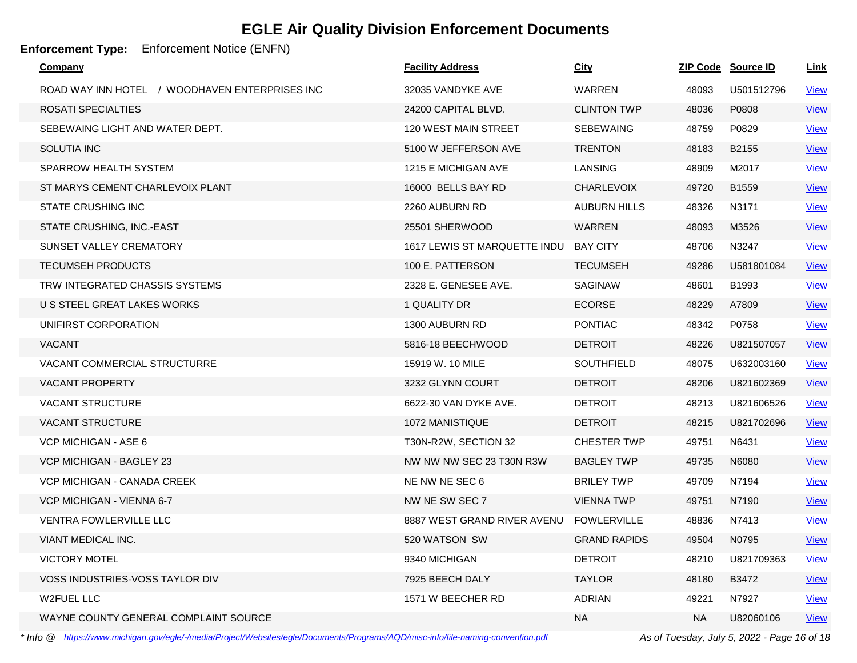**Enforcement Type:** Enforcement Notice (ENFN)

| <b>Company</b>                                 | <b>Facility Address</b>      | <b>City</b>         |           | ZIP Code Source ID | <b>Link</b> |
|------------------------------------------------|------------------------------|---------------------|-----------|--------------------|-------------|
| ROAD WAY INN HOTEL / WOODHAVEN ENTERPRISES INC | 32035 VANDYKE AVE            | WARREN              | 48093     | U501512796         | <b>View</b> |
| ROSATI SPECIALTIES                             | 24200 CAPITAL BLVD.          | <b>CLINTON TWP</b>  | 48036     | P0808              | <b>View</b> |
| SEBEWAING LIGHT AND WATER DEPT.                | <b>120 WEST MAIN STREET</b>  | <b>SEBEWAING</b>    | 48759     | P0829              | <b>View</b> |
| <b>SOLUTIA INC</b>                             | 5100 W JEFFERSON AVE         | <b>TRENTON</b>      | 48183     | B <sub>2155</sub>  | <b>View</b> |
| SPARROW HEALTH SYSTEM                          | 1215 E MICHIGAN AVE          | <b>LANSING</b>      | 48909     | M2017              | <b>View</b> |
| ST MARYS CEMENT CHARLEVOIX PLANT               | 16000 BELLS BAY RD           | <b>CHARLEVOIX</b>   | 49720     | B1559              | <b>View</b> |
| <b>STATE CRUSHING INC</b>                      | 2260 AUBURN RD               | <b>AUBURN HILLS</b> | 48326     | N3171              | <b>View</b> |
| STATE CRUSHING, INC.-EAST                      | 25501 SHERWOOD               | <b>WARREN</b>       | 48093     | M3526              | <b>View</b> |
| SUNSET VALLEY CREMATORY                        | 1617 LEWIS ST MARQUETTE INDU | <b>BAY CITY</b>     | 48706     | N3247              | <b>View</b> |
| <b>TECUMSEH PRODUCTS</b>                       | 100 E. PATTERSON             | <b>TECUMSEH</b>     | 49286     | U581801084         | <b>View</b> |
| TRW INTEGRATED CHASSIS SYSTEMS                 | 2328 E. GENESEE AVE.         | <b>SAGINAW</b>      | 48601     | B1993              | <b>View</b> |
| U S STEEL GREAT LAKES WORKS                    | 1 QUALITY DR                 | <b>ECORSE</b>       | 48229     | A7809              | <b>View</b> |
| UNIFIRST CORPORATION                           | 1300 AUBURN RD               | <b>PONTIAC</b>      | 48342     | P0758              | <b>View</b> |
| <b>VACANT</b>                                  | 5816-18 BEECHWOOD            | <b>DETROIT</b>      | 48226     | U821507057         | <b>View</b> |
| <b>VACANT COMMERCIAL STRUCTURRE</b>            | 15919 W. 10 MILE             | <b>SOUTHFIELD</b>   | 48075     | U632003160         | <u>View</u> |
| <b>VACANT PROPERTY</b>                         | 3232 GLYNN COURT             | <b>DETROIT</b>      | 48206     | U821602369         | <u>View</u> |
| <b>VACANT STRUCTURE</b>                        | 6622-30 VAN DYKE AVE.        | <b>DETROIT</b>      | 48213     | U821606526         | <b>View</b> |
| <b>VACANT STRUCTURE</b>                        | 1072 MANISTIQUE              | <b>DETROIT</b>      | 48215     | U821702696         | <b>View</b> |
| VCP MICHIGAN - ASE 6                           | T30N-R2W, SECTION 32         | <b>CHESTER TWP</b>  | 49751     | N6431              | <b>View</b> |
| <b>VCP MICHIGAN - BAGLEY 23</b>                | NW NW NW SEC 23 T30N R3W     | <b>BAGLEY TWP</b>   | 49735     | N6080              | <b>View</b> |
| VCP MICHIGAN - CANADA CREEK                    | NE NW NE SEC 6               | <b>BRILEY TWP</b>   | 49709     | N7194              | <b>View</b> |
| VCP MICHIGAN - VIENNA 6-7                      | NW NE SW SEC 7               | <b>VIENNA TWP</b>   | 49751     | N7190              | <u>View</u> |
| <b>VENTRA FOWLERVILLE LLC</b>                  | 8887 WEST GRAND RIVER AVENU  | <b>FOWLERVILLE</b>  | 48836     | N7413              | <b>View</b> |
| VIANT MEDICAL INC.                             | 520 WATSON SW                | <b>GRAND RAPIDS</b> | 49504     | N0795              | <b>View</b> |
| <b>VICTORY MOTEL</b>                           | 9340 MICHIGAN                | <b>DETROIT</b>      | 48210     | U821709363         | <u>View</u> |
| VOSS INDUSTRIES-VOSS TAYLOR DIV                | 7925 BEECH DALY              | <b>TAYLOR</b>       | 48180     | B3472              | <b>View</b> |
| W2FUEL LLC                                     | 1571 W BEECHER RD            | <b>ADRIAN</b>       | 49221     | N7927              | <b>View</b> |
| WAYNE COUNTY GENERAL COMPLAINT SOURCE          |                              | <b>NA</b>           | <b>NA</b> | U82060106          | <b>View</b> |

*\* Info @ https://www.michigan.gov/egle/-/media/Project/Websites/egle/Documents/Programs/AQD/misc-info/file-naming-convention.pdf As of Tuesday, July 5, 2022 - Page 16 of 18*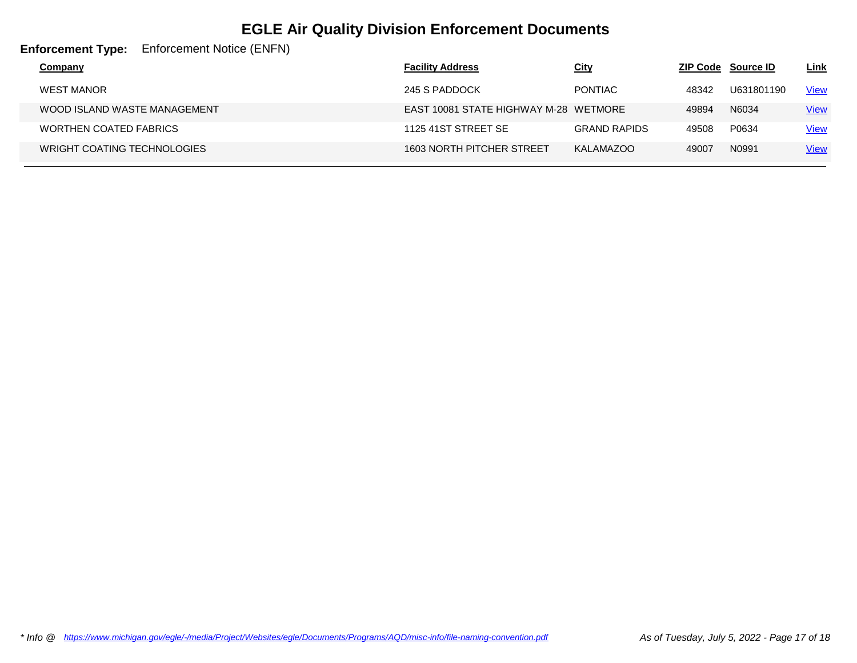**Enforcement Type:** Enforcement Notice (ENFN)

| Company                            | <b>Facility Address</b>               | <u>City</u>         |       | <b>ZIP Code</b> Source ID | <u>Link</u> |
|------------------------------------|---------------------------------------|---------------------|-------|---------------------------|-------------|
| WEST MANOR                         | 245 S PADDOCK                         | <b>PONTIAC</b>      | 48342 | U631801190                | <b>View</b> |
| WOOD ISLAND WASTE MANAGEMENT       | EAST 10081 STATE HIGHWAY M-28 WETMORE |                     | 49894 | N6034                     | <b>View</b> |
| <b>WORTHEN COATED FABRICS</b>      | 1125 41ST STREET SE                   | <b>GRAND RAPIDS</b> | 49508 | P0634                     | <u>View</u> |
| <b>WRIGHT COATING TECHNOLOGIES</b> | 1603 NORTH PITCHER STREET             | KALAMAZOO           | 49007 | N0991                     | <b>View</b> |